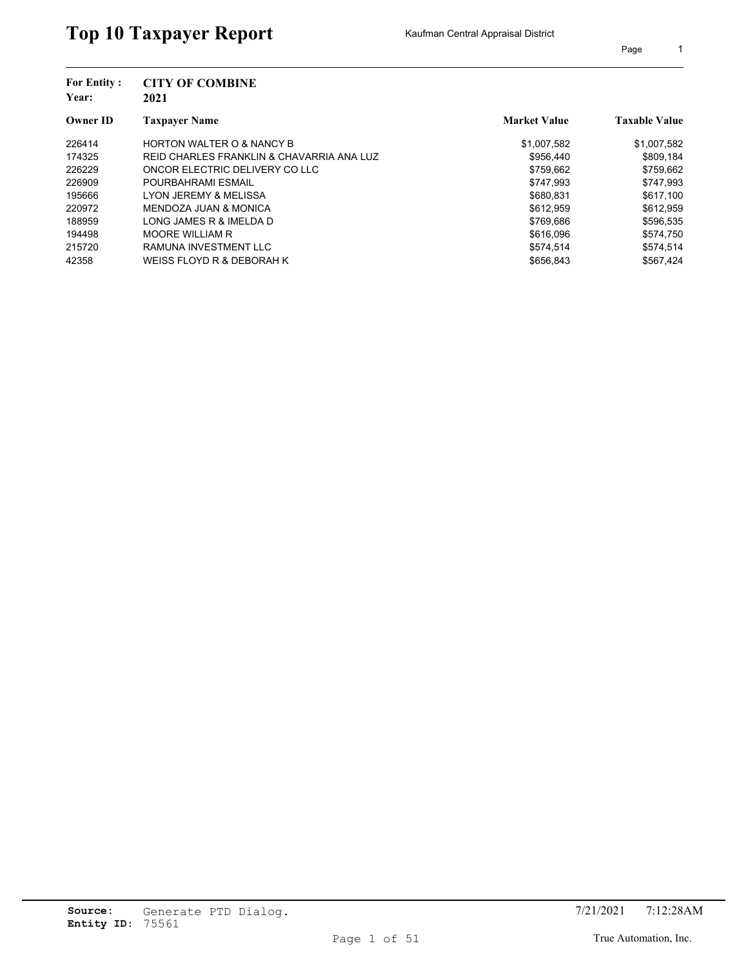| <b>For Entity:</b><br>Year: | <b>CITY OF COMBINE</b><br>2021            |                     |                      |
|-----------------------------|-------------------------------------------|---------------------|----------------------|
| <b>Owner ID</b>             | <b>Taxpayer Name</b>                      | <b>Market Value</b> | <b>Taxable Value</b> |
| 226414                      | <b>HORTON WALTER O &amp; NANCY B</b>      | \$1,007,582         | \$1,007,582          |
| 174325                      | REID CHARLES FRANKLIN & CHAVARRIA ANA LUZ | \$956.440           | \$809,184            |
| 226229                      | ONCOR ELECTRIC DELIVERY CO LLC            | \$759.662           | \$759,662            |
| 226909                      | POURBAHRAMI ESMAIL                        | \$747.993           | \$747,993            |
| 195666                      | LYON JEREMY & MELISSA                     | \$680.831           | \$617.100            |
| 220972                      | MENDOZA JUAN & MONICA                     | \$612.959           | \$612.959            |
| 188959                      | LONG JAMES R & IMELDA D                   | \$769,686           | \$596,535            |
| 194498                      | <b>MOORE WILLIAM R</b>                    | \$616,096           | \$574.750            |
| 215720                      | RAMUNA INVESTMENT LLC                     | \$574.514           | \$574,514            |
| 42358                       | WEISS FLOYD R & DEBORAH K                 | \$656.843           | \$567.424            |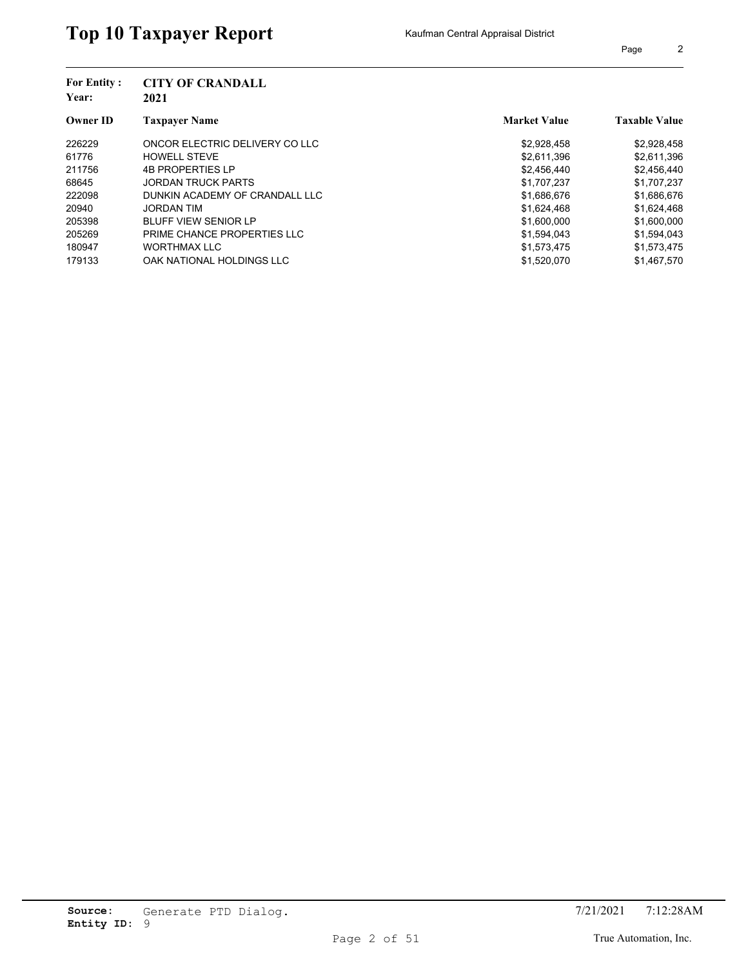| Page |  |
|------|--|
|      |  |

| <b>For Entity:</b><br>Year: | <b>CITY OF CRANDALL</b><br>2021 |                     |                      |
|-----------------------------|---------------------------------|---------------------|----------------------|
| <b>Owner ID</b>             | <b>Taxpayer Name</b>            | <b>Market Value</b> | <b>Taxable Value</b> |
| 226229                      | ONCOR ELECTRIC DELIVERY CO LLC  | \$2,928,458         | \$2,928,458          |
| 61776                       | <b>HOWELL STEVE</b>             | \$2,611,396         | \$2,611,396          |
| 211756                      | <b>4B PROPERTIES LP</b>         | \$2,456,440         | \$2,456,440          |
| 68645                       | <b>JORDAN TRUCK PARTS</b>       | \$1,707,237         | \$1,707,237          |
| 222098                      | DUNKIN ACADEMY OF CRANDALL LLC  | \$1,686,676         | \$1,686,676          |
| 20940                       | <b>JORDAN TIM</b>               | \$1,624,468         | \$1,624,468          |
| 205398                      | <b>BLUFF VIEW SENIOR LP</b>     | \$1,600,000         | \$1,600,000          |
| 205269                      | PRIME CHANCE PROPERTIES LLC     | \$1,594,043         | \$1,594,043          |
| 180947                      | <b>WORTHMAX LLC</b>             | \$1,573,475         | \$1,573,475          |
| 179133                      | OAK NATIONAL HOLDINGS LLC       | \$1,520,070         | \$1,467,570          |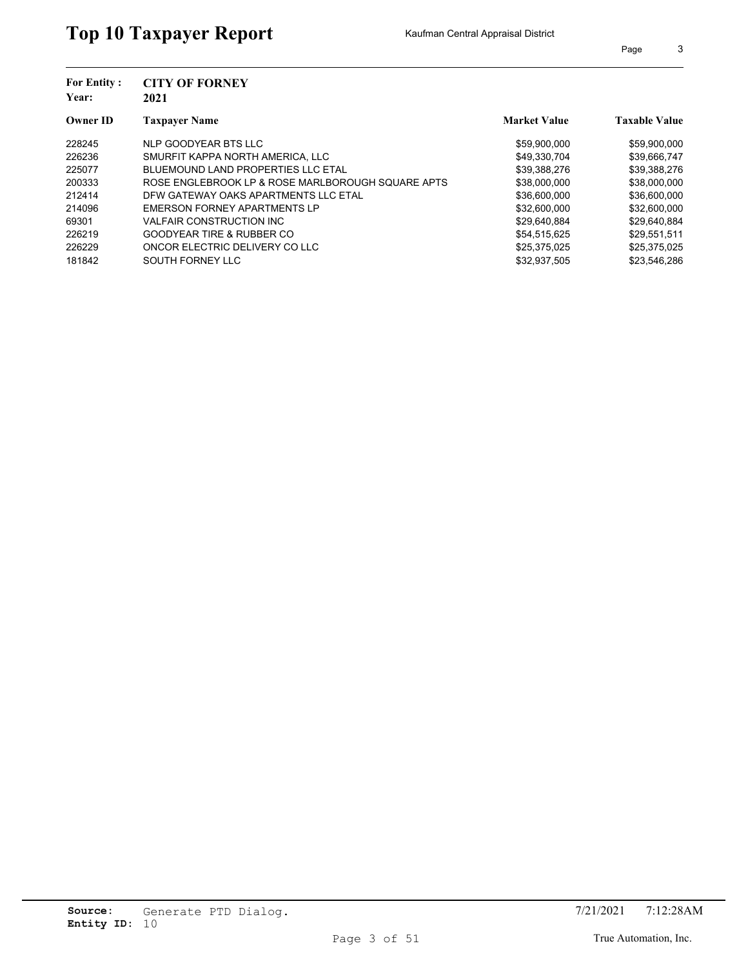| <b>For Entity:</b> | <b>CITY OF FORNEY</b>                             |                     |                      |
|--------------------|---------------------------------------------------|---------------------|----------------------|
| Year:              | 2021                                              |                     |                      |
| <b>Owner ID</b>    | <b>Taxpayer Name</b>                              | <b>Market Value</b> | <b>Taxable Value</b> |
| 228245             | NLP GOODYEAR BTS LLC                              | \$59,900,000        | \$59,900,000         |
| 226236             | SMURFIT KAPPA NORTH AMERICA. LLC                  | \$49.330.704        | \$39,666,747         |
| 225077             | BLUEMOUND LAND PROPERTIES LLC ETAL                | \$39,388,276        | \$39,388,276         |
| 200333             | ROSE ENGLEBROOK LP & ROSE MARLBOROUGH SOUARE APTS | \$38,000,000        | \$38,000,000         |
| 212414             | DFW GATEWAY OAKS APARTMENTS LLC ETAL              | \$36,600,000        | \$36,600,000         |
| 214096             | EMERSON FORNEY APARTMENTS LP                      | \$32,600,000        | \$32,600,000         |
| 69301              | <b>VALFAIR CONSTRUCTION INC.</b>                  | \$29,640,884        | \$29,640,884         |
| 226219             | <b>GOODYEAR TIRE &amp; RUBBER CO</b>              | \$54.515.625        | \$29.551.511         |
| 226229             | ONCOR ELECTRIC DELIVERY CO LLC                    | \$25,375,025        | \$25,375,025         |
| 181842             | SOUTH FORNEY LLC                                  | \$32.937.505        | \$23.546.286         |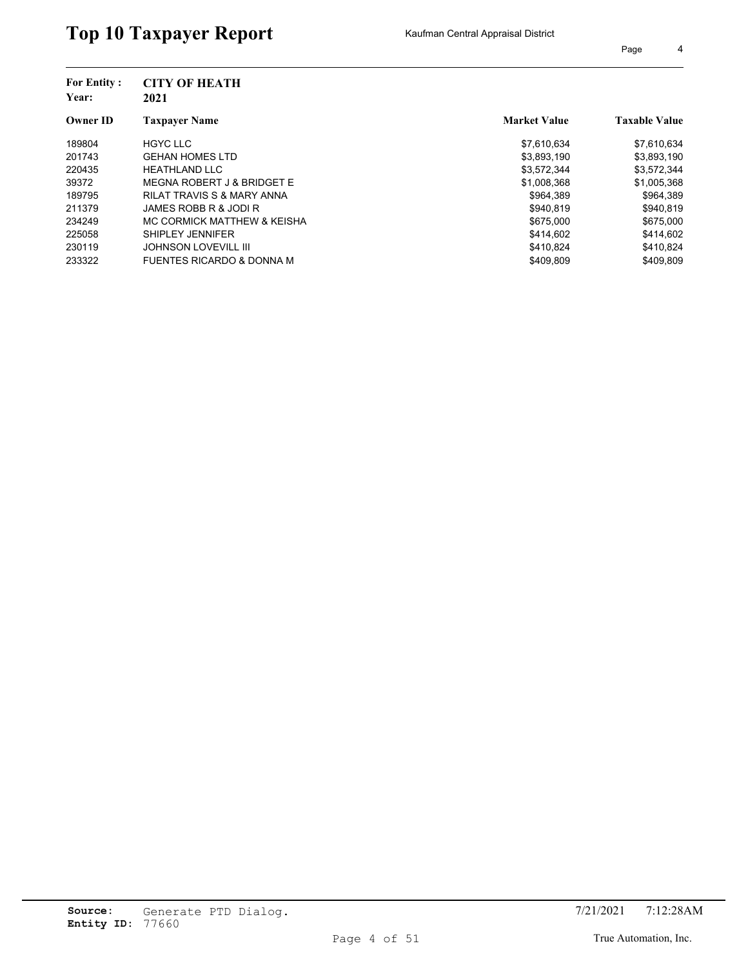| <b>For Entity:</b><br>Year: | <b>CITY OF HEATH</b><br>2021          |                     |                      |
|-----------------------------|---------------------------------------|---------------------|----------------------|
| <b>Owner ID</b>             | <b>Taxpayer Name</b>                  | <b>Market Value</b> | <b>Taxable Value</b> |
| 189804                      | <b>HGYC LLC</b>                       | \$7,610,634         | \$7,610,634          |
| 201743                      | <b>GEHAN HOMES LTD</b>                | \$3,893,190         | \$3,893,190          |
| 220435                      | <b>HEATHLAND LLC</b>                  | \$3,572,344         | \$3,572,344          |
| 39372                       | MEGNA ROBERT J & BRIDGET E            | \$1,008,368         | \$1,005,368          |
| 189795                      | <b>RILAT TRAVIS S &amp; MARY ANNA</b> | \$964.389           | \$964,389            |
| 211379                      | JAMES ROBB R & JODI R                 | \$940.819           | \$940.819            |
| 234249                      | MC CORMICK MATTHEW & KEISHA           | \$675,000           | \$675,000            |
| 225058                      | SHIPLEY JENNIFER                      | \$414.602           | \$414.602            |
| 230119                      | <b>JOHNSON LOVEVILL III</b>           | \$410.824           | \$410,824            |
| 233322                      | <b>FUENTES RICARDO &amp; DONNA M</b>  | \$409.809           | \$409.809            |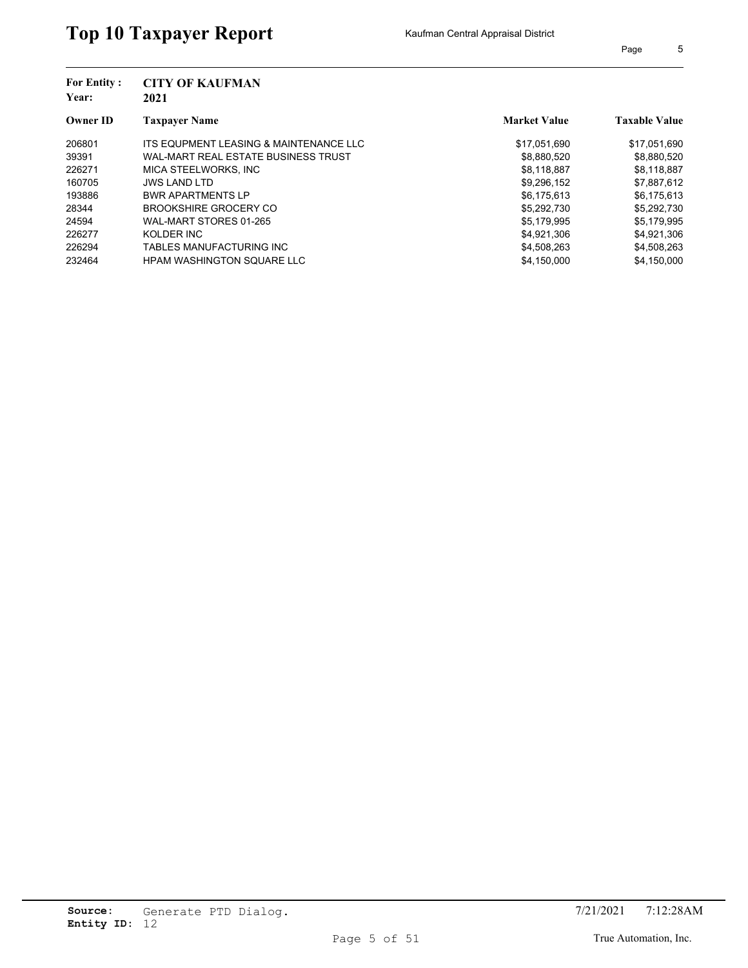| <b>For Entity:</b><br>Year: | <b>CITY OF KAUFMAN</b><br>2021         |                     |                      |
|-----------------------------|----------------------------------------|---------------------|----------------------|
| <b>Owner ID</b>             | <b>Taxpayer Name</b>                   | <b>Market Value</b> | <b>Taxable Value</b> |
| 206801                      | ITS EQUPMENT LEASING & MAINTENANCE LLC | \$17,051,690        | \$17,051,690         |
| 39391                       | WAL-MART REAL ESTATE BUSINESS TRUST    | \$8,880,520         | \$8,880,520          |
| 226271                      | MICA STEELWORKS. INC                   | \$8.118.887         | \$8,118,887          |
| 160705                      | <b>JWS LAND LTD</b>                    | \$9,296,152         | \$7,887,612          |
| 193886                      | <b>BWR APARTMENTS LP</b>               | \$6.175.613         | \$6,175,613          |
| 28344                       | <b>BROOKSHIRE GROCERY CO</b>           | \$5.292.730         | \$5,292,730          |
| 24594                       | WAL-MART STORES 01-265                 | \$5,179,995         | \$5,179,995          |
| 226277                      | KOLDER INC                             | \$4.921.306         | \$4.921.306          |
| 226294                      | TABLES MANUFACTURING INC               | \$4,508,263         | \$4,508,263          |
| 232464                      | <b>HPAM WASHINGTON SQUARE LLC</b>      | \$4.150.000         | \$4.150.000          |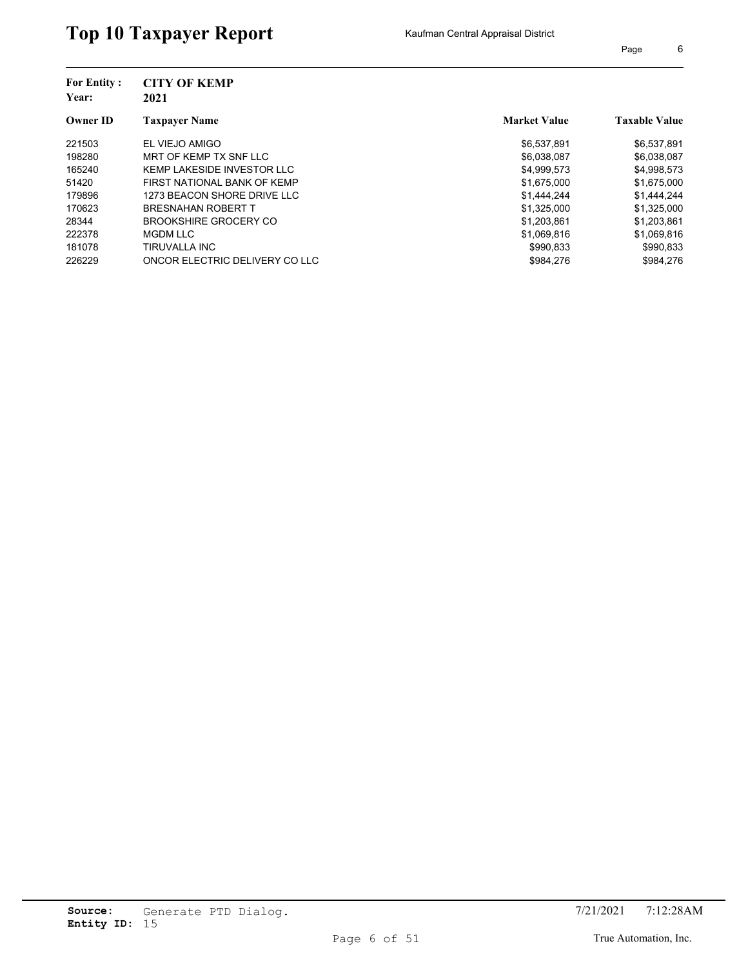| <b>For Entity:</b> | <b>CITY OF KEMP</b>            |                     |                      |
|--------------------|--------------------------------|---------------------|----------------------|
| Year:              | 2021                           |                     |                      |
| <b>Owner ID</b>    | <b>Taxpayer Name</b>           | <b>Market Value</b> | <b>Taxable Value</b> |
| 221503             | EL VIEJO AMIGO                 | \$6,537,891         | \$6,537,891          |
| 198280             | MRT OF KEMP TX SNF LLC         | \$6,038,087         | \$6,038,087          |
| 165240             | KEMP LAKESIDE INVESTOR LLC     | \$4,999,573         | \$4,998,573          |
| 51420              | FIRST NATIONAL BANK OF KEMP    | \$1,675,000         | \$1,675,000          |
| 179896             | 1273 BEACON SHORE DRIVE LLC    | \$1,444,244         | \$1,444,244          |
| 170623             | <b>BRESNAHAN ROBERT T</b>      | \$1,325,000         | \$1,325,000          |
| 28344              | <b>BROOKSHIRE GROCERY CO</b>   | \$1,203,861         | \$1,203,861          |
| 222378             | <b>MGDM LLC</b>                | \$1,069,816         | \$1,069,816          |
| 181078             | TIRUVALLA INC                  | \$990,833           | \$990,833            |
| 226229             | ONCOR ELECTRIC DELIVERY CO LLC | \$984.276           | \$984.276            |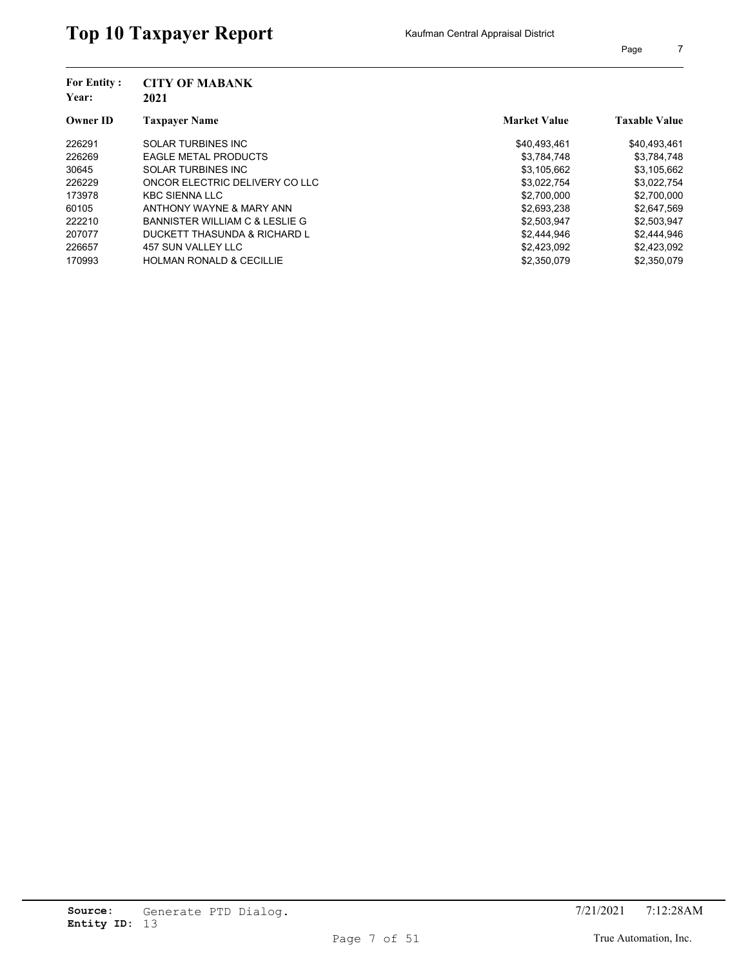| Page |  |
|------|--|
|      |  |

| <b>For Entity:</b><br>Year: | <b>CITY OF MABANK</b><br>2021       |                     |                      |
|-----------------------------|-------------------------------------|---------------------|----------------------|
| <b>Owner ID</b>             | <b>Taxpayer Name</b>                | <b>Market Value</b> | <b>Taxable Value</b> |
| 226291                      | <b>SOLAR TURBINES INC</b>           | \$40.493.461        | \$40,493,461         |
| 226269                      | <b>EAGLE METAL PRODUCTS</b>         | \$3,784,748         | \$3,784,748          |
| 30645                       | <b>SOLAR TURBINES INC</b>           | \$3,105,662         | \$3,105,662          |
| 226229                      | ONCOR ELECTRIC DELIVERY CO LLC      | \$3,022,754         | \$3,022,754          |
| 173978                      | <b>KBC SIENNA LLC</b>               | \$2,700,000         | \$2,700,000          |
| 60105                       | ANTHONY WAYNE & MARY ANN            | \$2,693,238         | \$2,647,569          |
| 222210                      | BANNISTER WILLIAM C & LESLIE G      | \$2,503,947         | \$2,503,947          |
| 207077                      | DUCKETT THASUNDA & RICHARD L        | \$2,444,946         | \$2,444,946          |
| 226657                      | 457 SUN VALLEY LLC                  | \$2,423,092         | \$2,423,092          |
| 170993                      | <b>HOLMAN RONALD &amp; CECILLIE</b> | \$2,350,079         | \$2,350,079          |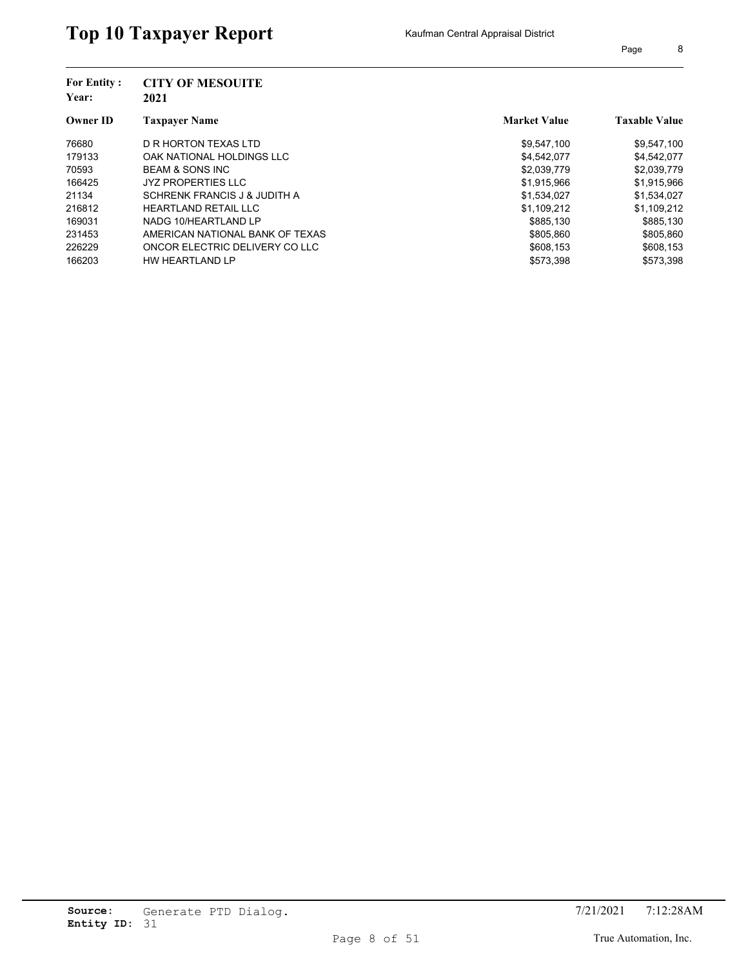| <b>For Entity:</b><br>Year: | <b>CITY OF MESOUITE</b><br>2021 |                     |                      |
|-----------------------------|---------------------------------|---------------------|----------------------|
| <b>Owner ID</b>             | <b>Taxpayer Name</b>            | <b>Market Value</b> | <b>Taxable Value</b> |
| 76680                       | D R HORTON TEXAS LTD            | \$9,547,100         | \$9,547,100          |
| 179133                      | OAK NATIONAL HOLDINGS LLC       | \$4,542,077         | \$4,542,077          |
| 70593                       | <b>BEAM &amp; SONS INC</b>      | \$2,039,779         | \$2,039,779          |
| 166425                      | <b>JYZ PROPERTIES LLC</b>       | \$1,915,966         | \$1,915,966          |
| 21134                       | SCHRENK FRANCIS J & JUDITH A    | \$1,534,027         | \$1,534,027          |
| 216812                      | <b>HEARTLAND RETAIL LLC</b>     | \$1,109,212         | \$1,109,212          |
| 169031                      | NADG 10/HEARTLAND LP            | \$885,130           | \$885,130            |
| 231453                      | AMERICAN NATIONAL BANK OF TEXAS | \$805.860           | \$805,860            |
| 226229                      | ONCOR ELECTRIC DELIVERY CO LLC  | \$608.153           | \$608,153            |
| 166203                      | HW HEARTLAND LP                 | \$573,398           | \$573.398            |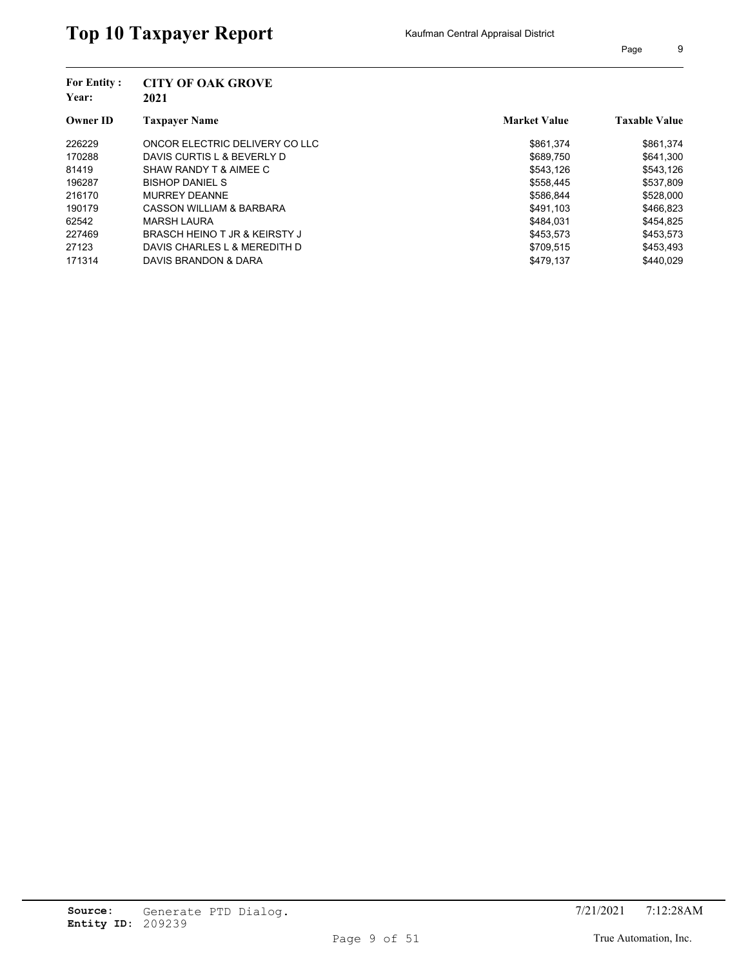| Page | 9 |
|------|---|
|      |   |

| <b>For Entity:</b><br>Year: | <b>CITY OF OAK GROVE</b><br>2021 |                     |                      |
|-----------------------------|----------------------------------|---------------------|----------------------|
| <b>Owner ID</b>             | <b>Taxpayer Name</b>             | <b>Market Value</b> | <b>Taxable Value</b> |
| 226229                      | ONCOR ELECTRIC DELIVERY CO LLC   | \$861.374           | \$861,374            |
| 170288                      | DAVIS CURTIS L & BEVERLY D       | \$689.750           | \$641.300            |
| 81419                       | SHAW RANDY T & AIMEE C           | \$543.126           | \$543,126            |
| 196287                      | <b>BISHOP DANIEL S</b>           | \$558,445           | \$537,809            |
| 216170                      | <b>MURREY DEANNE</b>             | \$586.844           | \$528,000            |
| 190179                      | CASSON WILLIAM & BARBARA         | \$491.103           | \$466,823            |
| 62542                       | MARSH LAURA                      | \$484.031           | \$454,825            |
| 227469                      | BRASCH HEINO T JR & KEIRSTY J    | \$453,573           | \$453,573            |
| 27123                       | DAVIS CHARLES L & MEREDITH D     | \$709,515           | \$453,493            |
| 171314                      | DAVIS BRANDON & DARA             | \$479.137           | \$440.029            |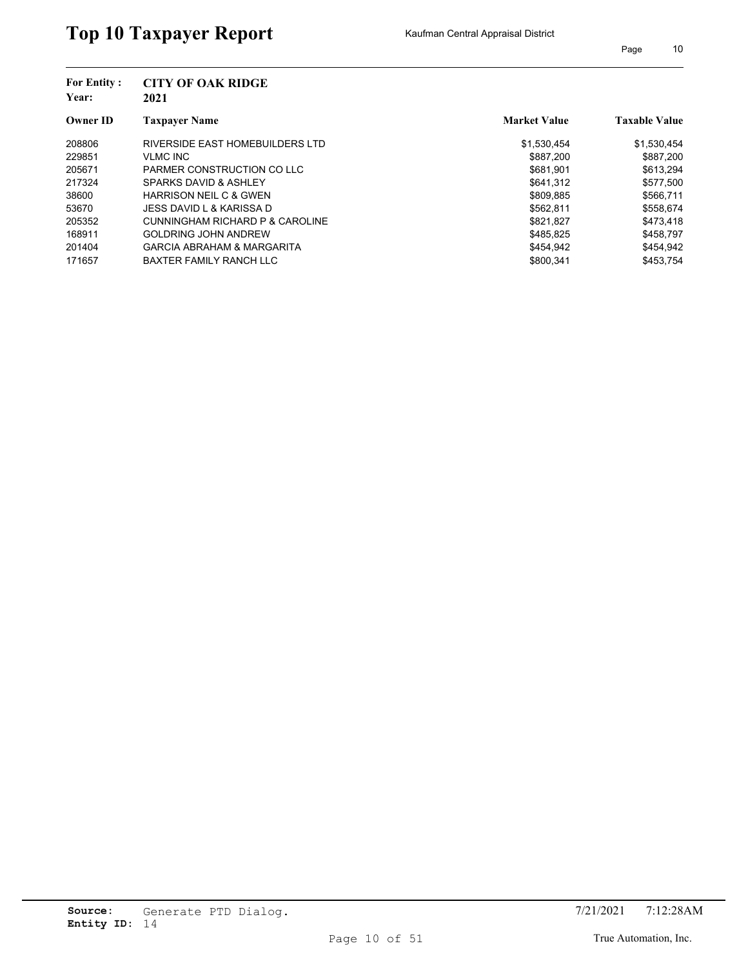| <b>For Entity:</b> | <b>CITY OF OAK RIDGE</b>              |                     |                      |
|--------------------|---------------------------------------|---------------------|----------------------|
| Year:              | 2021                                  |                     |                      |
| <b>Owner ID</b>    | <b>Taxpayer Name</b>                  | <b>Market Value</b> | <b>Taxable Value</b> |
| 208806             | RIVERSIDE EAST HOMEBUILDERS LTD       | \$1,530,454         | \$1,530,454          |
| 229851             | <b>VLMC INC</b>                       | \$887,200           | \$887,200            |
| 205671             | PARMER CONSTRUCTION CO LLC            | \$681.901           | \$613,294            |
| 217324             | SPARKS DAVID & ASHLEY                 | \$641,312           | \$577,500            |
| 38600              | <b>HARRISON NEIL C &amp; GWEN</b>     | \$809.885           | \$566,711            |
| 53670              | JESS DAVID L & KARISSA D              | \$562,811           | \$558,674            |
| 205352             | CUNNINGHAM RICHARD P & CAROLINE       | \$821.827           | \$473,418            |
| 168911             | <b>GOLDRING JOHN ANDREW</b>           | \$485.825           | \$458.797            |
| 201404             | <b>GARCIA ABRAHAM &amp; MARGARITA</b> | \$454,942           | \$454,942            |
| 171657             | BAXTER FAMILY RANCH LLC               | \$800.341           | \$453.754            |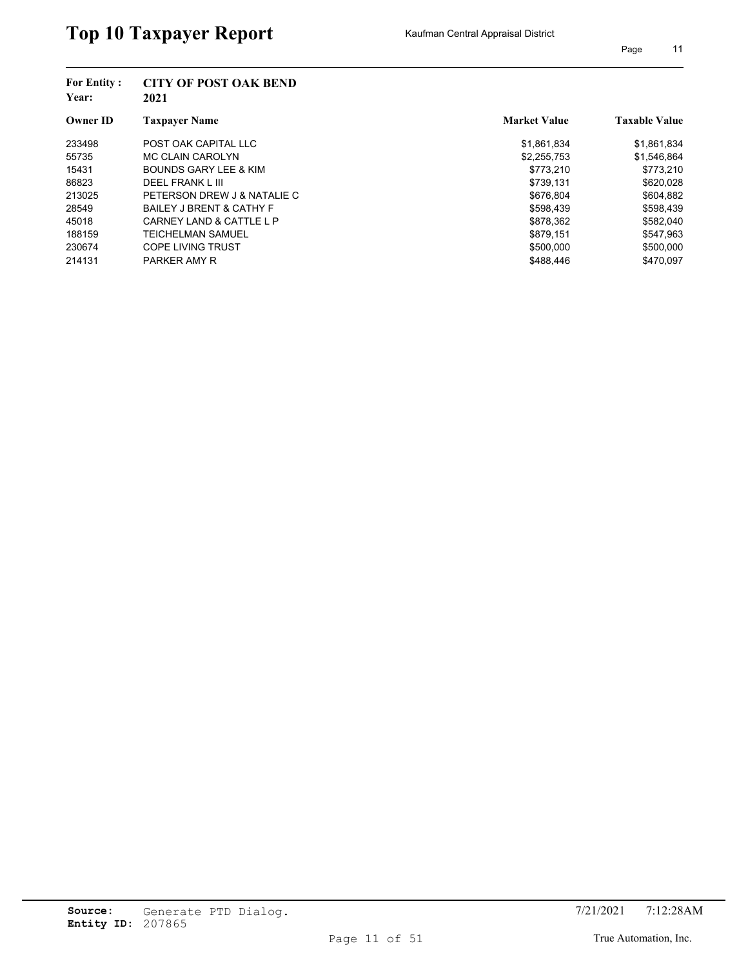| <b>For Entity:</b><br>Year:<br><b>Owner ID</b> | <b>CITY OF POST OAK BEND</b><br>2021 |                     |                      |  |
|------------------------------------------------|--------------------------------------|---------------------|----------------------|--|
|                                                | <b>Taxpayer Name</b>                 | <b>Market Value</b> | <b>Taxable Value</b> |  |
| 233498                                         | POST OAK CAPITAL LLC                 | \$1,861,834         | \$1,861,834          |  |
| 55735                                          | MC CLAIN CAROLYN                     | \$2,255,753         | \$1,546,864          |  |
| 15431                                          | <b>BOUNDS GARY LEE &amp; KIM</b>     | \$773,210           | \$773,210            |  |
| 86823                                          | DEEL FRANK L III                     | \$739.131           | \$620,028            |  |
| 213025                                         | PETERSON DREW J & NATALIE C          | \$676.804           | \$604,882            |  |
| 28549                                          | <b>BAILEY J BRENT &amp; CATHY F</b>  | \$598.439           | \$598,439            |  |
| 45018                                          | CARNEY LAND & CATTLE L P             | \$878,362           | \$582,040            |  |
| 188159                                         | TEICHELMAN SAMUEL                    | \$879.151           | \$547.963            |  |
| 230674                                         | <b>COPE LIVING TRUST</b>             | \$500,000           | \$500,000            |  |
| 214131                                         | <b>PARKER AMY R</b>                  | \$488.446           | \$470.097            |  |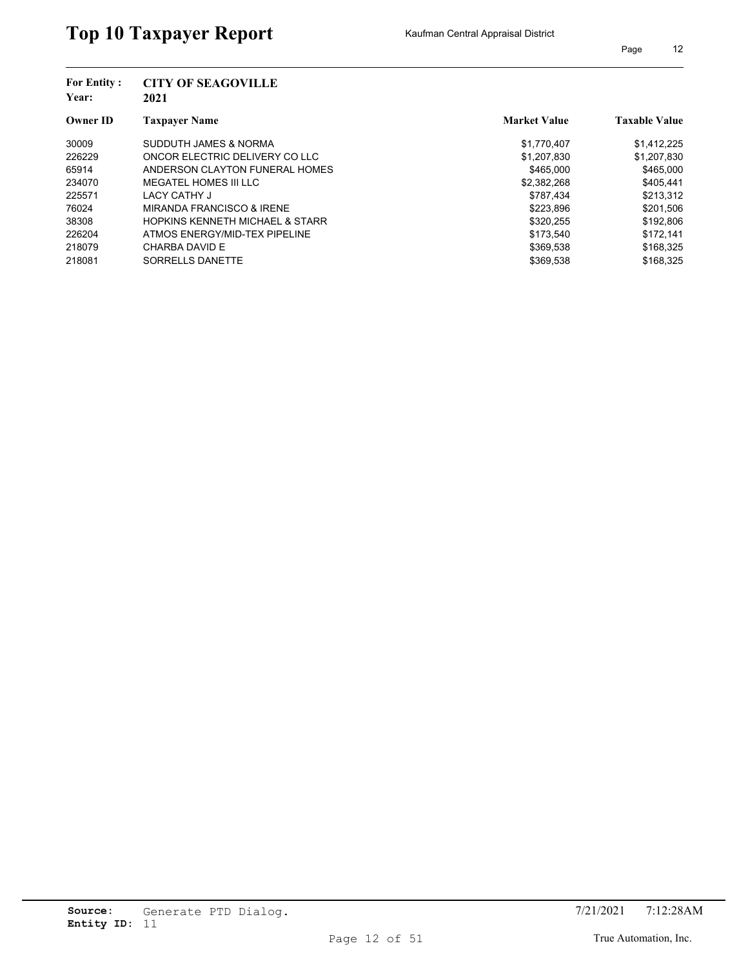| Page | 12 |
|------|----|
|------|----|

| <b>For Entity:</b><br>Year: | <b>CITY OF SEAGOVILLE</b><br>2021          |                     |                      |  |
|-----------------------------|--------------------------------------------|---------------------|----------------------|--|
| <b>Owner ID</b>             | <b>Taxpayer Name</b>                       | <b>Market Value</b> | <b>Taxable Value</b> |  |
| 30009                       | SUDDUTH JAMES & NORMA                      | \$1,770,407         | \$1,412,225          |  |
| 226229                      | ONCOR ELECTRIC DELIVERY CO LLC             | \$1,207,830         | \$1,207,830          |  |
| 65914                       | ANDERSON CLAYTON FUNERAL HOMES             | \$465,000           | \$465,000            |  |
| 234070                      | MEGATEL HOMES III LLC                      | \$2,382,268         | \$405,441            |  |
| 225571                      | LACY CATHY J                               | \$787.434           | \$213.312            |  |
| 76024                       | MIRANDA FRANCISCO & IRENE                  | \$223,896           | \$201,506            |  |
| 38308                       | <b>HOPKINS KENNETH MICHAEL &amp; STARR</b> | \$320.255           | \$192,806            |  |
| 226204                      | ATMOS ENERGY/MID-TEX PIPELINE              | \$173.540           | \$172.141            |  |
| 218079                      | CHARBA DAVID E                             | \$369.538           | \$168,325            |  |
| 218081                      | SORRELLS DANETTE                           | \$369.538           | \$168.325            |  |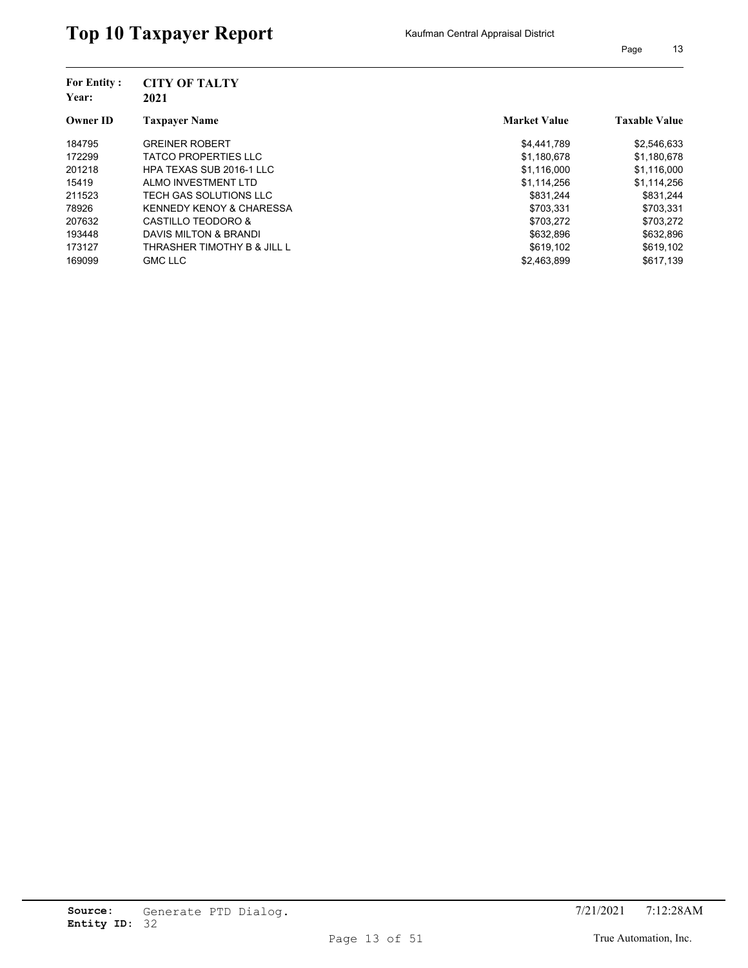| <b>For Entity:</b><br>Year: | <b>CITY OF TALTY</b>                |                     |                      |
|-----------------------------|-------------------------------------|---------------------|----------------------|
|                             | 2021                                |                     |                      |
| <b>Owner ID</b>             | <b>Taxpayer Name</b>                | <b>Market Value</b> | <b>Taxable Value</b> |
| 184795                      | <b>GREINER ROBERT</b>               | \$4,441,789         | \$2,546,633          |
| 172299                      | <b>TATCO PROPERTIES LLC</b>         | \$1,180,678         | \$1,180,678          |
| 201218                      | HPA TEXAS SUB 2016-1 LLC            | \$1,116,000         | \$1,116,000          |
| 15419                       | ALMO INVESTMENT LTD                 | \$1,114,256         | \$1,114,256          |
| 211523                      | TECH GAS SOLUTIONS LLC              | \$831.244           | \$831.244            |
| 78926                       | <b>KENNEDY KENOY &amp; CHARESSA</b> | \$703,331           | \$703,331            |
| 207632                      | CASTILLO TEODORO &                  | \$703.272           | \$703,272            |
| 193448                      | DAVIS MILTON & BRANDI               | \$632.896           | \$632.896            |
| 173127                      | THRASHER TIMOTHY B & JILL L         | \$619,102           | \$619,102            |
| 169099                      | <b>GMC LLC</b>                      | \$2.463.899         | \$617.139            |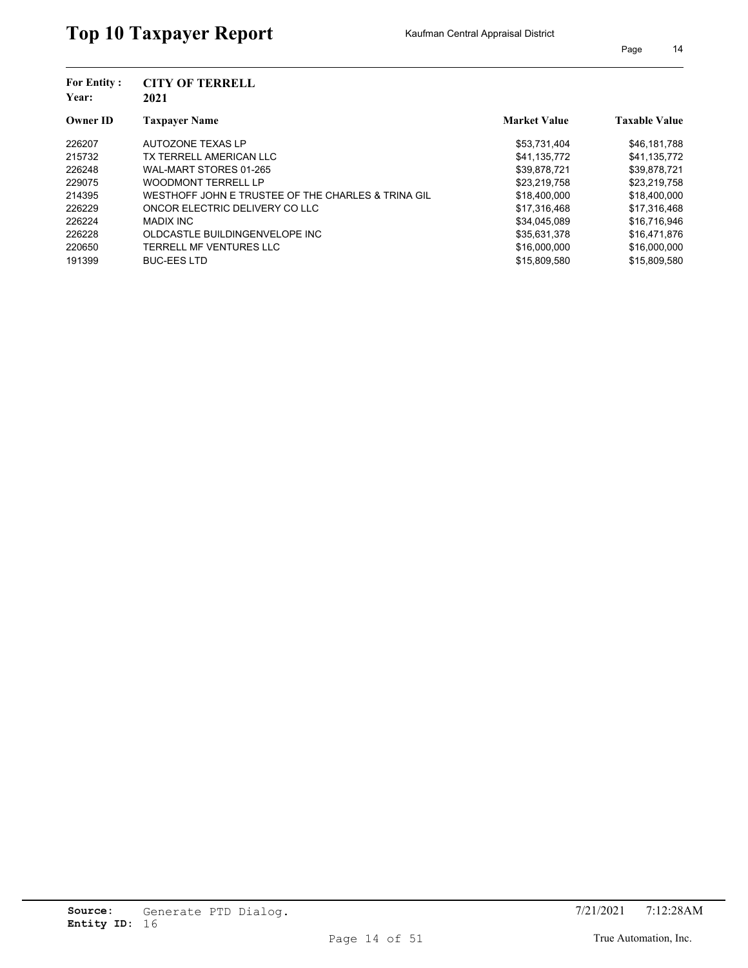| <b>For Entity:</b><br>Year: | <b>CITY OF TERRELL</b><br>2021                     |                     |                      |
|-----------------------------|----------------------------------------------------|---------------------|----------------------|
| <b>Owner ID</b>             | <b>Taxpayer Name</b>                               | <b>Market Value</b> | <b>Taxable Value</b> |
| 226207                      | AUTOZONE TEXAS LP                                  | \$53,731,404        | \$46,181,788         |
| 215732                      | TX TERRELL AMERICAN LLC                            | \$41,135,772        | \$41,135,772         |
| 226248                      | WAL-MART STORES 01-265                             | \$39,878,721        | \$39,878,721         |
| 229075                      | <b>WOODMONT TERRELL LP</b>                         | \$23,219,758        | \$23,219,758         |
| 214395                      | WESTHOFF JOHN E TRUSTEE OF THE CHARLES & TRINA GIL | \$18,400,000        | \$18,400,000         |
| 226229                      | ONCOR ELECTRIC DELIVERY CO LLC                     | \$17,316,468        | \$17,316,468         |
| 226224                      | <b>MADIX INC</b>                                   | \$34,045,089        | \$16.716.946         |

226228 OLDCASTLE BUILDINGENVELOPE INC **\$35,631,378** \$16,471,876 220650 TERRELL MF VENTURES LLC 816,000,000 \$16,000,000 \$16,000,000 \$16,000,000 191399 BUC-EES LTD **\$15,809,580** \$15,809,580 \$15,809,580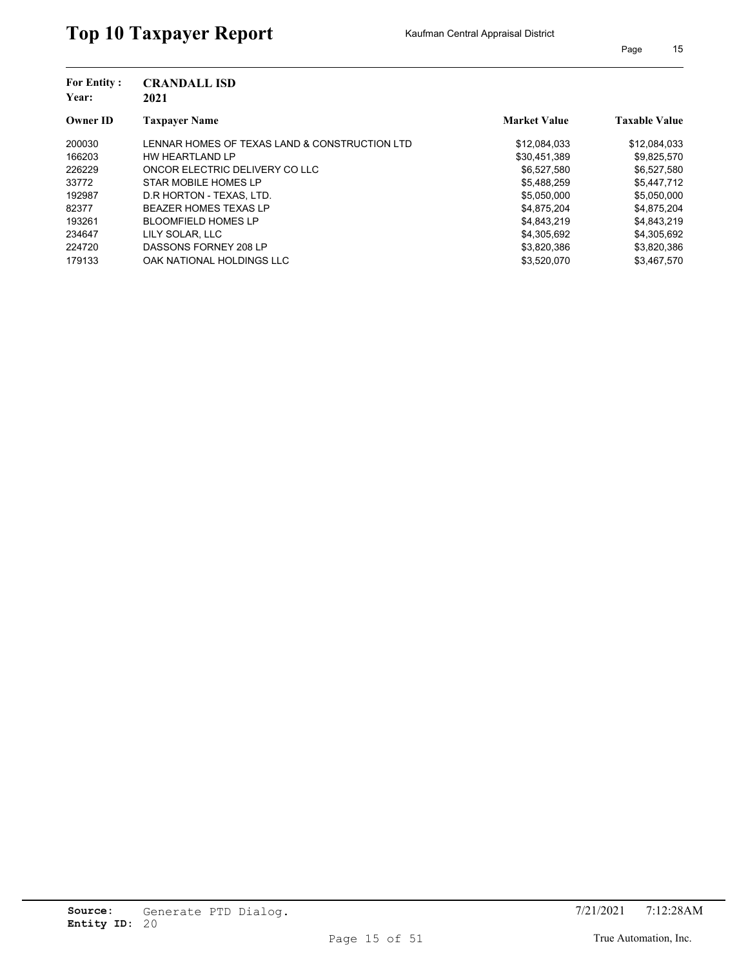| <b>For Entity:</b><br>Year: | <b>CRANDALL ISD</b><br>2021                   |                     |                      |
|-----------------------------|-----------------------------------------------|---------------------|----------------------|
| <b>Owner ID</b>             | <b>Taxpaver Name</b>                          | <b>Market Value</b> | <b>Taxable Value</b> |
| 200030                      | LENNAR HOMES OF TEXAS LAND & CONSTRUCTION LTD | \$12,084,033        | \$12,084,033         |
| 166203                      | HW HEARTLAND LP                               | \$30,451,389        | \$9,825,570          |
| 226229                      | ONCOR ELECTRIC DELIVERY CO LLC                | \$6.527.580         | \$6,527,580          |
| 33772                       | STAR MOBILE HOMES LP                          | \$5,488,259         | \$5,447,712          |
| 192987                      | D.R HORTON - TEXAS, LTD.                      | \$5,050,000         | \$5,050,000          |
| 82377                       | <b>BEAZER HOMES TEXAS LP</b>                  | \$4.875.204         | \$4,875,204          |
| 193261                      | <b>BLOOMFIELD HOMES LP</b>                    | \$4,843,219         | \$4,843,219          |
| 234647                      | LILY SOLAR, LLC                               | \$4,305,692         | \$4,305,692          |
| 224720                      | DASSONS FORNEY 208 LP                         | \$3,820,386         | \$3,820,386          |
| 179133                      | OAK NATIONAL HOLDINGS LLC                     | \$3,520,070         | \$3.467.570          |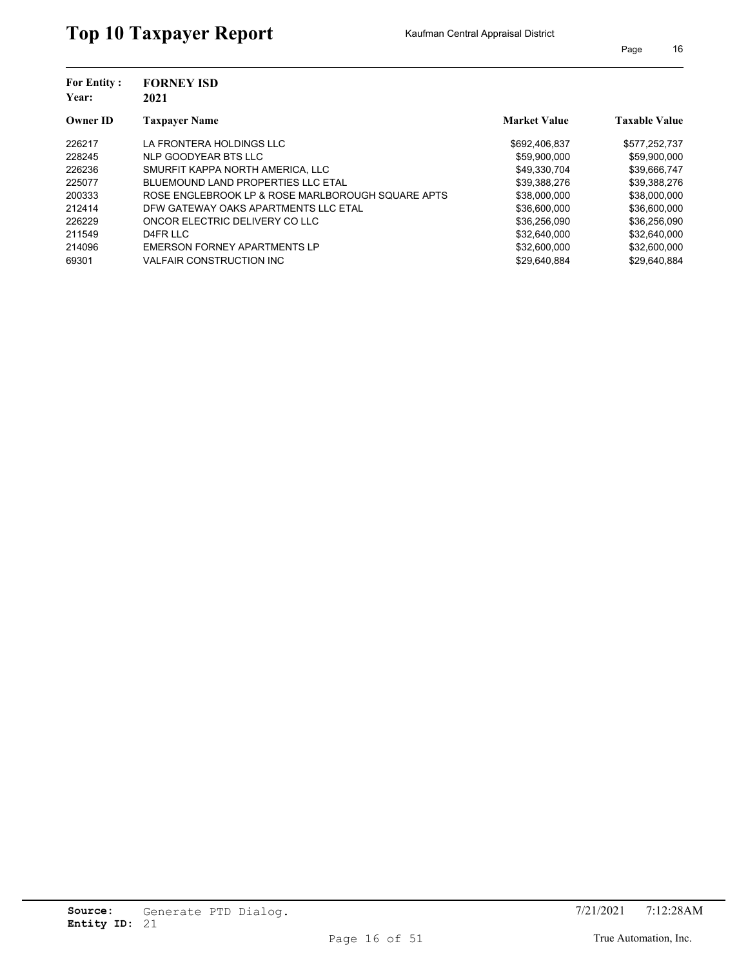| <b>For Entity:</b><br>Year: | <b>FORNEY ISD</b><br>2021                         |                     |                      |
|-----------------------------|---------------------------------------------------|---------------------|----------------------|
| <b>Owner ID</b>             | <b>Taxpayer Name</b>                              | <b>Market Value</b> | <b>Taxable Value</b> |
| 226217                      | LA FRONTERA HOLDINGS LLC                          | \$692,406,837       | \$577,252,737        |
| 228245                      | NLP GOODYEAR BTS LLC                              | \$59,900,000        | \$59,900,000         |
| 226236                      | SMURFIT KAPPA NORTH AMERICA. LLC                  | \$49,330,704        | \$39,666,747         |
| 225077                      | BLUEMOUND LAND PROPERTIES LLC ETAL                | \$39,388,276        | \$39,388,276         |
| 200333                      | ROSE ENGLEBROOK LP & ROSE MARLBOROUGH SQUARE APTS | \$38,000,000        | \$38,000,000         |
| 212414                      | DFW GATEWAY OAKS APARTMENTS LLC ETAL              | \$36,600,000        | \$36,600,000         |
| 226229                      | ONCOR ELECTRIC DELIVERY CO LLC                    | \$36,256,090        | \$36,256,090         |
| 211549                      | D4FR LLC                                          | \$32.640.000        | \$32.640.000         |
| 214096                      | EMERSON FORNEY APARTMENTS LP                      | \$32,600,000        | \$32,600,000         |
| 69301                       | <b>VALFAIR CONSTRUCTION INC.</b>                  | \$29.640.884        | \$29.640.884         |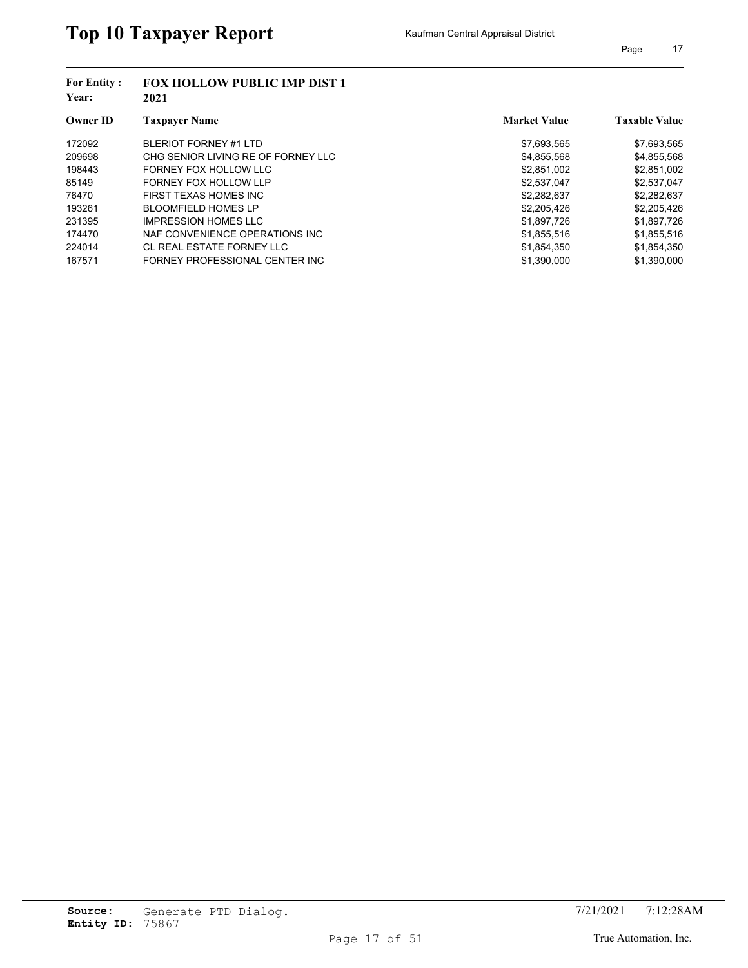| <b>For Entity:</b><br>Year: | <b>FOX HOLLOW PUBLIC IMP DIST 1</b><br>2021 |                     |                      |  |
|-----------------------------|---------------------------------------------|---------------------|----------------------|--|
| <b>Owner ID</b>             | <b>Taxpayer Name</b>                        | <b>Market Value</b> | <b>Taxable Value</b> |  |
| 172092                      | BLERIOT FORNEY #1 LTD                       | \$7,693,565         | \$7,693,565          |  |
| 209698                      | CHG SENIOR LIVING RE OF FORNEY LLC          | \$4,855,568         | \$4,855,568          |  |
| 198443                      | FORNEY FOX HOLLOW LLC                       | \$2,851,002         | \$2,851,002          |  |
| 85149                       | FORNEY FOX HOLLOW LLP                       | \$2,537,047         | \$2,537,047          |  |
| 76470                       | FIRST TEXAS HOMES INC                       | \$2,282,637         | \$2,282,637          |  |
| 193261                      | <b>BLOOMFIELD HOMES LP</b>                  | \$2,205,426         | \$2,205,426          |  |
| 231395                      | <b>IMPRESSION HOMES LLC</b>                 | \$1,897,726         | \$1,897,726          |  |
| 174470                      | NAF CONVENIENCE OPERATIONS INC.             | \$1,855,516         | \$1,855,516          |  |
| 224014                      | CL REAL ESTATE FORNEY LLC                   | \$1,854,350         | \$1,854,350          |  |
| 167571                      | FORNEY PROFESSIONAL CENTER INC              | \$1.390.000         | \$1.390.000          |  |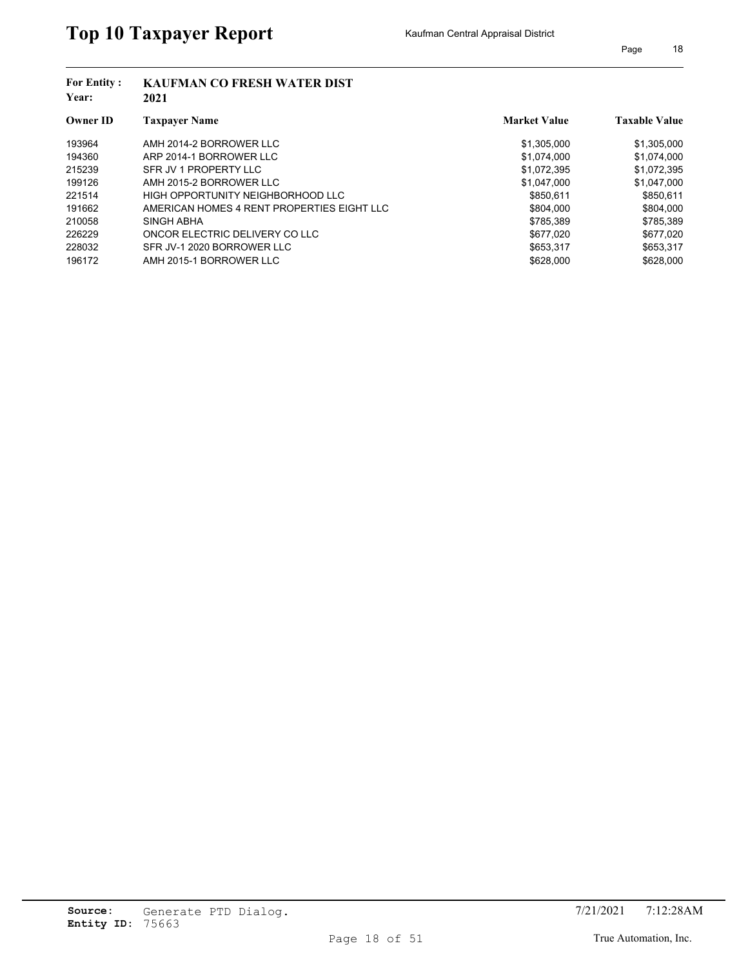| <b>For Entity:</b><br>Year: | <b>KAUFMAN CO FRESH WATER DIST</b><br>2021 |                     |                      |
|-----------------------------|--------------------------------------------|---------------------|----------------------|
| <b>Owner ID</b>             | <b>Taxpayer Name</b>                       | <b>Market Value</b> | <b>Taxable Value</b> |
| 193964                      | AMH 2014-2 BORROWER LLC                    | \$1,305,000         | \$1,305,000          |
| 194360                      | ARP 2014-1 BORROWER LLC                    | \$1.074.000         | \$1,074,000          |
| 215239                      | SFR JV 1 PROPERTY LLC                      | \$1,072,395         | \$1,072,395          |
| 199126                      | AMH 2015-2 BORROWER LLC                    | \$1,047,000         | \$1,047,000          |
| 221514                      | HIGH OPPORTUNITY NEIGHBORHOOD LLC          | \$850.611           | \$850,611            |
| 191662                      | AMERICAN HOMES 4 RENT PROPERTIES EIGHT LLC | \$804.000           | \$804.000            |
| 210058                      | SINGH ABHA                                 | \$785,389           | \$785,389            |
| 226229                      | ONCOR ELECTRIC DELIVERY CO LLC             | \$677.020           | \$677.020            |
| 228032                      | SFR JV-1 2020 BORROWER LLC                 | \$653,317           | \$653,317            |
| 196172                      | AMH 2015-1 BORROWER LLC                    | \$628,000           | \$628,000            |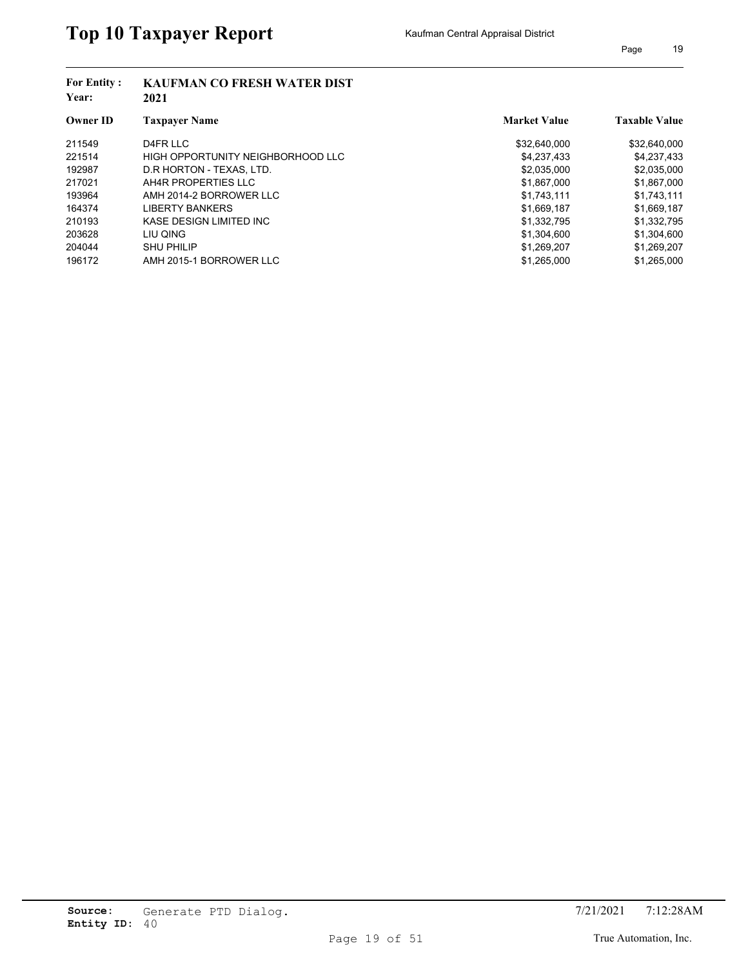| <b>For Entity:</b><br>Year: | <b>KAUFMAN CO FRESH WATER DIST</b><br>2021 |                     |                      |  |
|-----------------------------|--------------------------------------------|---------------------|----------------------|--|
| <b>Owner ID</b>             | <b>Taxpayer Name</b>                       | <b>Market Value</b> | <b>Taxable Value</b> |  |
| 211549                      | D4FR LLC                                   | \$32,640,000        | \$32,640,000         |  |
| 221514                      | HIGH OPPORTUNITY NEIGHBORHOOD LLC          | \$4,237,433         | \$4,237,433          |  |
| 192987                      | D.R HORTON - TEXAS, LTD.                   | \$2,035,000         | \$2,035,000          |  |
| 217021                      | AH4R PROPERTIES LLC                        | \$1,867,000         | \$1,867,000          |  |
| 193964                      | AMH 2014-2 BORROWER LLC                    | \$1,743,111         | \$1,743,111          |  |
| 164374                      | <b>LIBERTY BANKERS</b>                     | \$1,669,187         | \$1,669,187          |  |
| 210193                      | KASE DESIGN LIMITED INC                    | \$1,332,795         | \$1,332,795          |  |
| 203628                      | LIU QING                                   | \$1.304.600         | \$1,304,600          |  |
| 204044                      | <b>SHU PHILIP</b>                          | \$1,269,207         | \$1,269,207          |  |
| 196172                      | AMH 2015-1 BORROWER LLC                    | \$1,265,000         | \$1.265.000          |  |
|                             |                                            |                     |                      |  |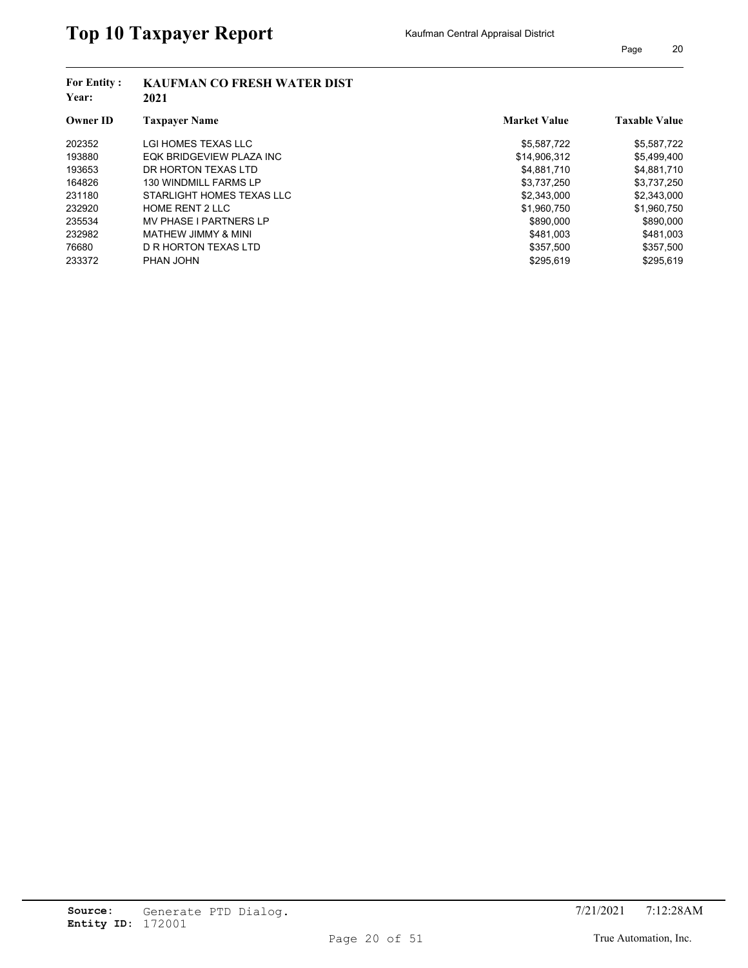| <b>For Entity:</b><br>Year: | <b>KAUFMAN CO FRESH WATER DIST</b><br>2021 |                     |                      |
|-----------------------------|--------------------------------------------|---------------------|----------------------|
| <b>Owner ID</b>             | <b>Taxpayer Name</b>                       | <b>Market Value</b> | <b>Taxable Value</b> |
| 202352                      | LGI HOMES TEXAS LLC                        | \$5,587,722         | \$5,587,722          |
| 193880                      | EQK BRIDGEVIEW PLAZA INC                   | \$14.906.312        | \$5,499,400          |
| 193653                      | DR HORTON TEXAS LTD                        | \$4,881,710         | \$4,881,710          |
| 164826                      | <b>130 WINDMILL FARMS LP</b>               | \$3,737,250         | \$3,737,250          |
| 231180                      | STARLIGHT HOMES TEXAS LLC                  | \$2,343,000         | \$2,343,000          |
| 232920                      | <b>HOME RENT 2 LLC</b>                     | \$1,960,750         | \$1,960,750          |
| 235534                      | <b>MV PHASE I PARTNERS LP</b>              | \$890,000           | \$890,000            |
| 232982                      | MATHEW JIMMY & MINI                        | \$481.003           | \$481.003            |
| 76680                       | D R HORTON TEXAS LTD                       | \$357,500           | \$357,500            |
| 233372                      | PHAN JOHN                                  | \$295.619           | \$295.619            |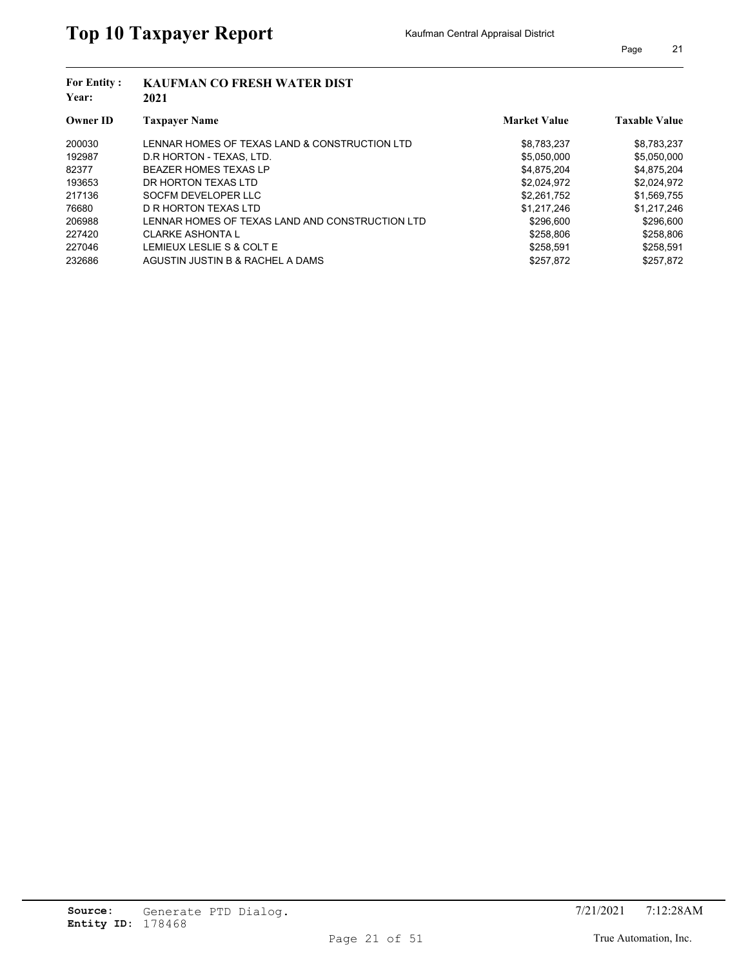| <b>For Entity:</b><br>Year: | <b>KAUFMAN CO FRESH WATER DIST</b><br>2021      |                     |                      |
|-----------------------------|-------------------------------------------------|---------------------|----------------------|
| <b>Owner ID</b>             | <b>Taxpayer Name</b>                            | <b>Market Value</b> | <b>Taxable Value</b> |
| 200030                      | LENNAR HOMES OF TEXAS LAND & CONSTRUCTION LTD   | \$8,783,237         | \$8,783,237          |
| 192987                      | D.R HORTON - TEXAS, LTD.                        | \$5,050,000         | \$5,050,000          |
| 82377                       | <b>BEAZER HOMES TEXAS LP</b>                    | \$4,875,204         | \$4,875,204          |
| 193653                      | DR HORTON TEXAS LTD                             | \$2,024,972         | \$2,024,972          |
| 217136                      | SOCFM DEVELOPER LLC                             | \$2,261,752         | \$1,569,755          |
| 76680                       | D R HORTON TEXAS LTD                            | \$1.217.246         | \$1.217.246          |
| 206988                      | LENNAR HOMES OF TEXAS LAND AND CONSTRUCTION LTD | \$296,600           | \$296,600            |
| 227420                      | <b>CLARKE ASHONTA L</b>                         | \$258.806           | \$258.806            |
| 227046                      | LEMIEUX LESLIE S & COLT E                       | \$258.591           | \$258,591            |
| 232686                      | AGUSTIN JUSTIN B & RACHEL A DAMS                | \$257,872           | \$257.872            |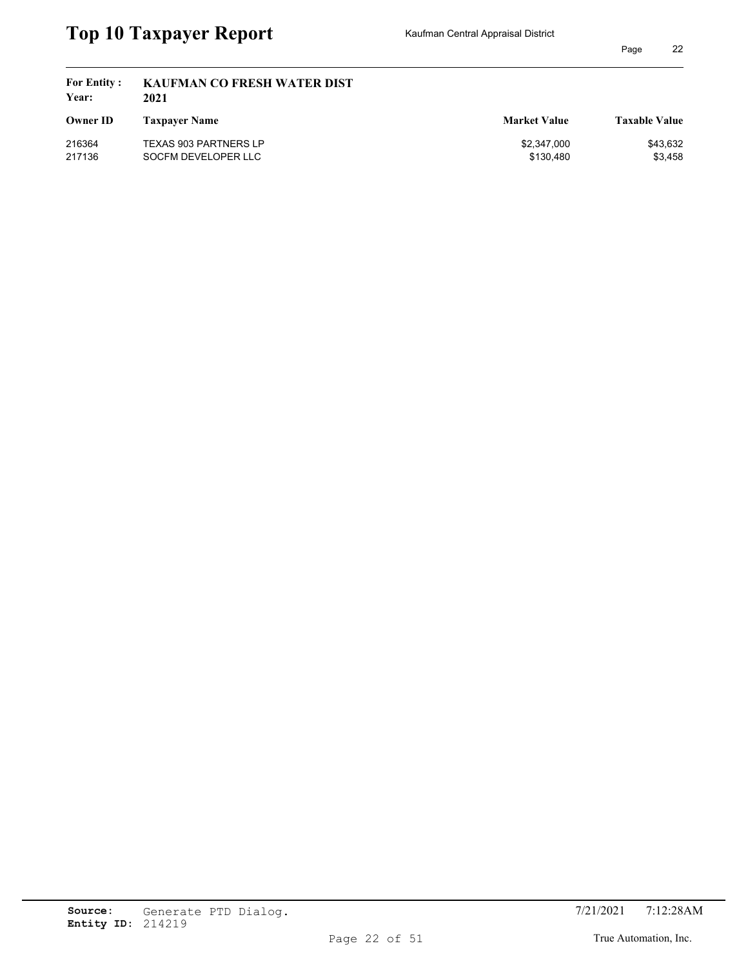| <b>For Entity:</b><br>Year: | <b>KAUFMAN CO FRESH WATER DIST</b><br>2021 |                     |                      |
|-----------------------------|--------------------------------------------|---------------------|----------------------|
| <b>Owner ID</b>             | <b>Taxpayer Name</b>                       | <b>Market Value</b> | <b>Taxable Value</b> |
| 216364                      | <b>TEXAS 903 PARTNERS LP</b>               | \$2,347,000         | \$43,632             |
| 217136                      | SOCFM DEVELOPER LLC                        | \$130.480           | \$3,458              |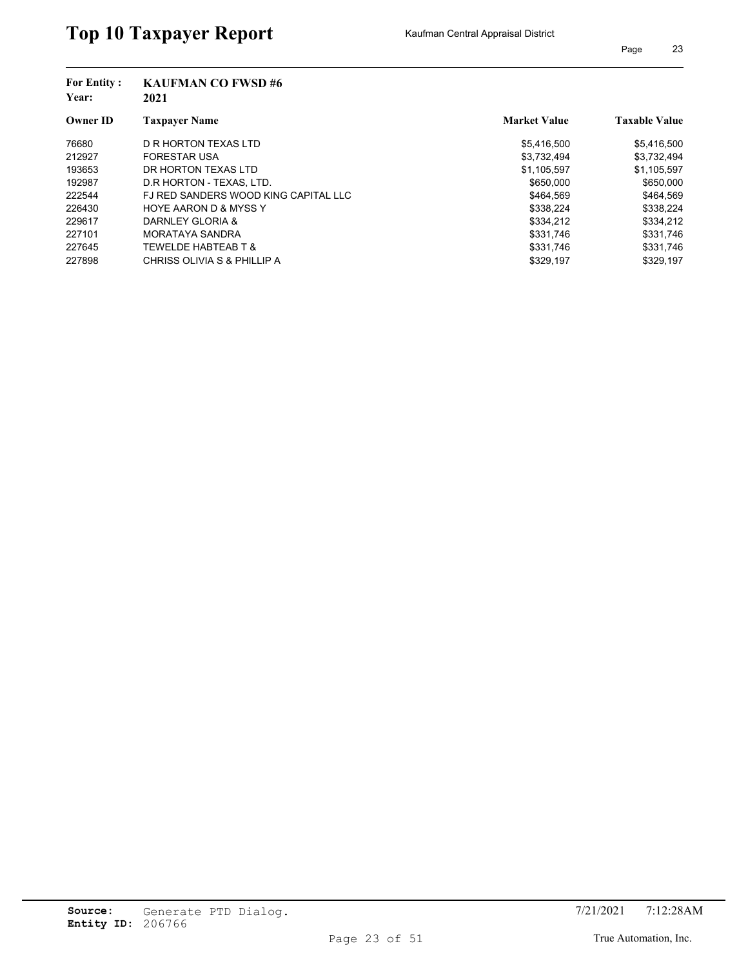| <b>For Entity:</b><br>Year: | <b>KAUFMAN CO FWSD#6</b><br>2021     |                     |                      |
|-----------------------------|--------------------------------------|---------------------|----------------------|
| <b>Owner ID</b>             | <b>Taxpayer Name</b>                 | <b>Market Value</b> | <b>Taxable Value</b> |
| 76680                       | D R HORTON TEXAS LTD                 | \$5,416,500         | \$5,416,500          |
| 212927                      | <b>FORESTAR USA</b>                  | \$3,732,494         | \$3,732,494          |
| 193653                      | DR HORTON TEXAS LTD                  | \$1,105,597         | \$1,105,597          |
| 192987                      | D.R HORTON - TEXAS, LTD.             | \$650,000           | \$650,000            |
| 222544                      | FJ RED SANDERS WOOD KING CAPITAL LLC | \$464.569           | \$464.569            |
| 226430                      | <b>HOYE AARON D &amp; MYSS Y</b>     | \$338.224           | \$338.224            |
| 229617                      | DARNLEY GLORIA &                     | \$334,212           | \$334,212            |
| 227101                      | <b>MORATAYA SANDRA</b>               | \$331.746           | \$331.746            |
| 227645                      | <b>TEWELDE HABTEAB T &amp;</b>       | \$331,746           | \$331,746            |
| 227898                      | CHRISS OLIVIA S & PHILLIP A          | \$329.197           | \$329.197            |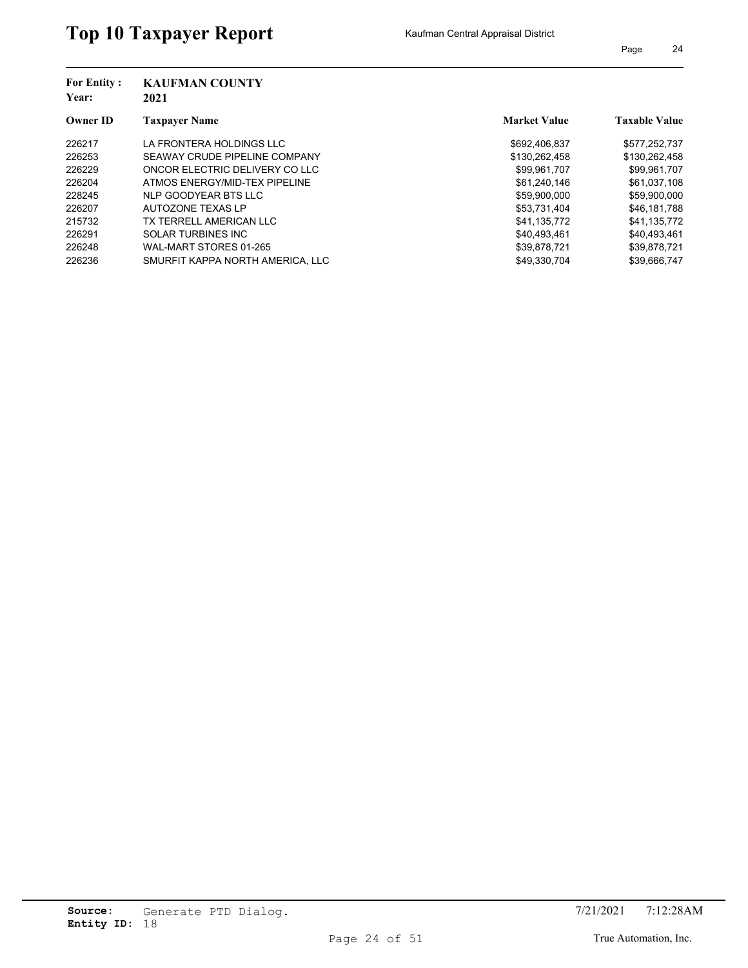| <b>For Entity:</b><br>Year: | <b>KAUFMAN COUNTY</b><br>2021    |                     |                      |
|-----------------------------|----------------------------------|---------------------|----------------------|
| <b>Owner ID</b>             | <b>Taxpayer Name</b>             | <b>Market Value</b> | <b>Taxable Value</b> |
| 226217                      | LA FRONTERA HOLDINGS LLC         | \$692,406,837       | \$577,252,737        |
| 226253                      | SEAWAY CRUDE PIPELINE COMPANY    | \$130,262,458       | \$130,262,458        |
| 226229                      | ONCOR ELECTRIC DELIVERY CO LLC   | \$99.961.707        | \$99,961,707         |
| 226204                      | ATMOS ENERGY/MID-TEX PIPELINE    | \$61,240,146        | \$61,037,108         |
| 228245                      | NLP GOODYEAR BTS LLC             | \$59,900,000        | \$59,900,000         |
| 226207                      | AUTOZONE TEXAS LP                | \$53,731,404        | \$46,181,788         |
| 215732                      | TX TERRELL AMERICAN LLC          | \$41.135.772        | \$41,135,772         |
| 226291                      | <b>SOLAR TURBINES INC</b>        | \$40.493.461        | \$40,493,461         |
| 226248                      | WAL-MART STORES 01-265           | \$39.878.721        | \$39,878,721         |
| 226236                      | SMURFIT KAPPA NORTH AMERICA. LLC | \$49.330.704        | \$39.666.747         |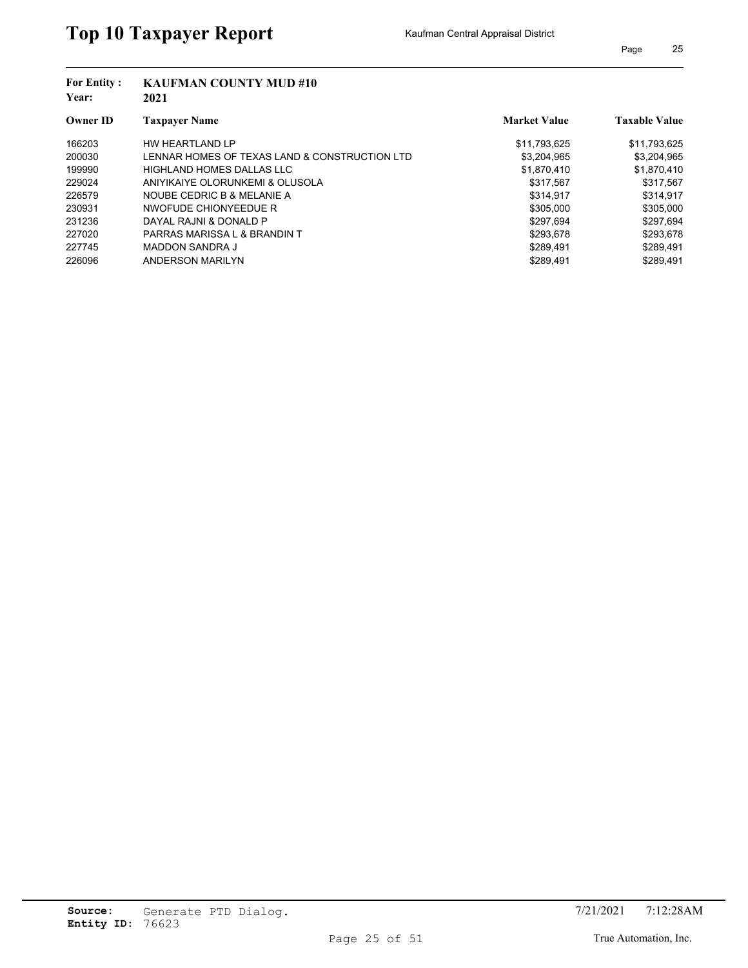| <b>For Entity:</b><br>Year: | <b>KAUFMAN COUNTY MUD #10</b>                 |                     |                      |  |  |
|-----------------------------|-----------------------------------------------|---------------------|----------------------|--|--|
|                             | 2021                                          |                     |                      |  |  |
| Owner ID                    | <b>Taxpayer Name</b>                          | <b>Market Value</b> | <b>Taxable Value</b> |  |  |
| 166203                      | HW HEARTLAND LP                               | \$11,793,625        | \$11,793,625         |  |  |
| 200030                      | LENNAR HOMES OF TEXAS LAND & CONSTRUCTION LTD | \$3,204,965         | \$3,204,965          |  |  |
| 199990                      | HIGHLAND HOMES DALLAS LLC                     | \$1,870,410         | \$1,870,410          |  |  |
| 229024                      | ANIYIKAIYE OLORUNKEMI & OLUSOLA               | \$317,567           | \$317,567            |  |  |
| 226579                      | NOUBE CEDRIC B & MELANIE A                    | \$314.917           | \$314,917            |  |  |
| 230931                      | NWOFUDE CHIONYEEDUE R                         | \$305.000           | \$305,000            |  |  |
| 231236                      | DAYAL RAJNI & DONALD P                        | \$297,694           | \$297,694            |  |  |
| 227020                      | PARRAS MARISSA L & BRANDIN T                  | \$293.678           | \$293.678            |  |  |
| 227745                      | <b>MADDON SANDRA J</b>                        | \$289,491           | \$289,491            |  |  |
| 226096                      | ANDERSON MARILYN                              | \$289.491           | \$289.491            |  |  |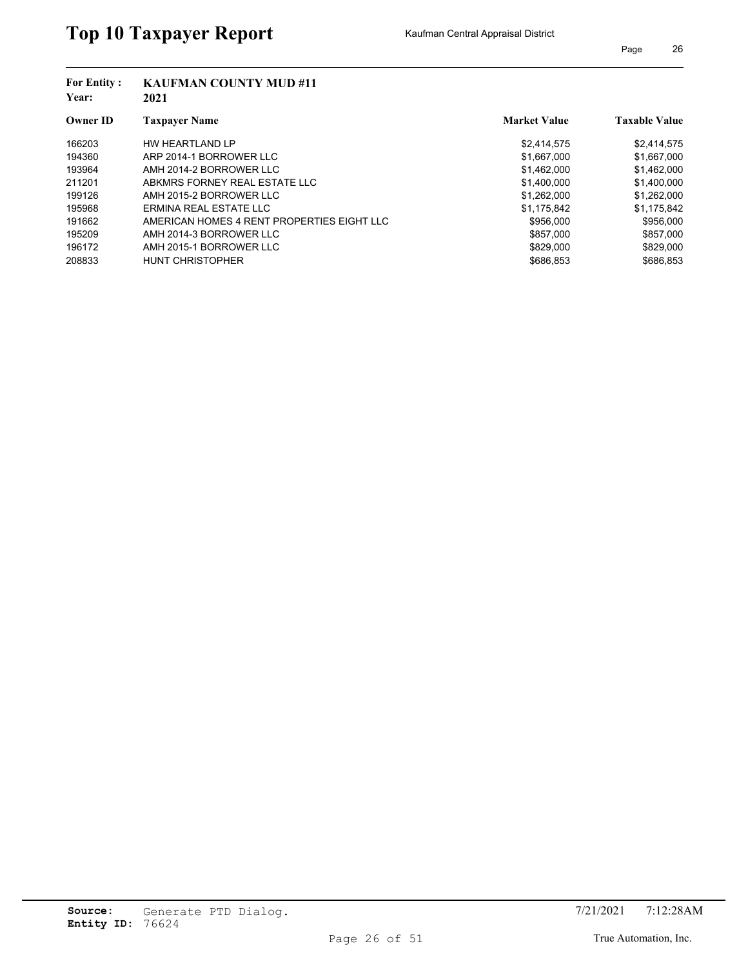| <b>For Entity:</b> | <b>KAUFMAN COUNTY MUD #11</b>              |                     |                      |
|--------------------|--------------------------------------------|---------------------|----------------------|
| Year:              | 2021                                       |                     |                      |
| <b>Owner ID</b>    | <b>Taxpaver Name</b>                       | <b>Market Value</b> | <b>Taxable Value</b> |
| 166203             | HW HEARTLAND LP                            | \$2,414,575         | \$2,414,575          |
| 194360             | ARP 2014-1 BORROWER LLC                    | \$1,667,000         | \$1,667,000          |
| 193964             | AMH 2014-2 BORROWER LLC                    | \$1,462,000         | \$1,462,000          |
| 211201             | ABKMRS FORNEY REAL ESTATE LLC              | \$1,400,000         | \$1,400,000          |
| 199126             | AMH 2015-2 BORROWER LLC                    | \$1.262.000         | \$1,262,000          |
| 195968             | ERMINA REAL ESTATE LLC                     | \$1,175,842         | \$1,175,842          |
| 191662             | AMERICAN HOMES 4 RENT PROPERTIES EIGHT LLC | \$956,000           | \$956,000            |
| 195209             | AMH 2014-3 BORROWER LLC                    | \$857,000           | \$857,000            |
| 196172             | AMH 2015-1 BORROWER LLC                    | \$829,000           | \$829,000            |
| 208833             | <b>HUNT CHRISTOPHER</b>                    | \$686.853           | \$686.853            |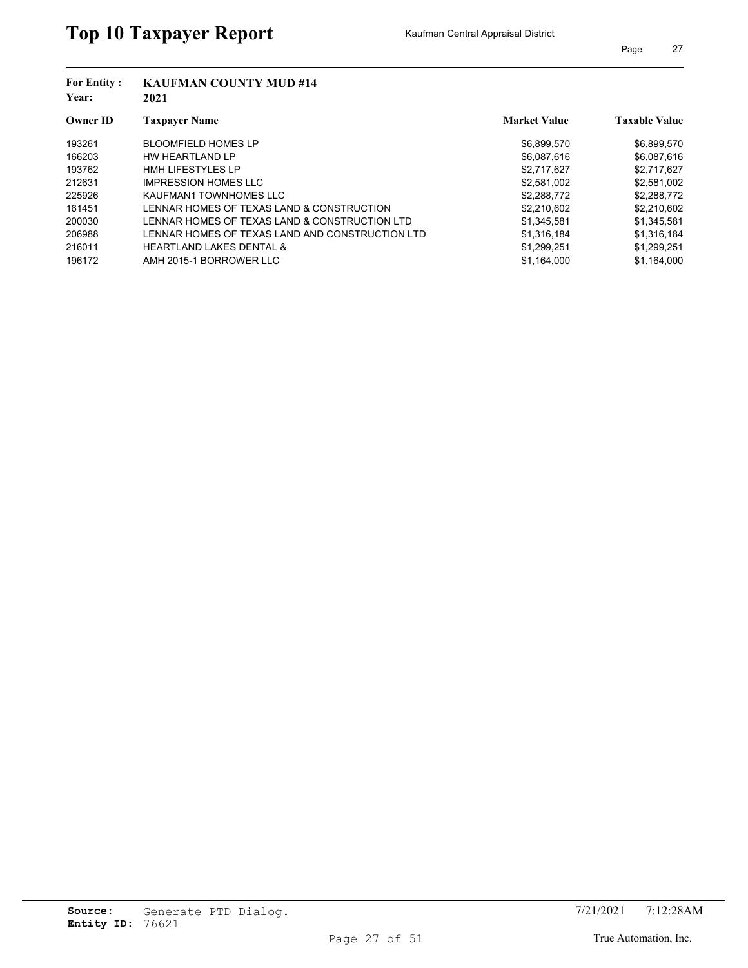| <b>For Entity:</b><br>Year: | <b>KAUFMAN COUNTY MUD #14</b><br>2021           |                     |                      |  |  |
|-----------------------------|-------------------------------------------------|---------------------|----------------------|--|--|
| <b>Owner ID</b>             | <b>Taxpayer Name</b>                            | <b>Market Value</b> | <b>Taxable Value</b> |  |  |
| 193261                      | <b>BLOOMFIELD HOMES LP</b>                      | \$6,899,570         | \$6,899,570          |  |  |
| 166203                      | HW HEARTLAND LP                                 | \$6,087,616         | \$6,087,616          |  |  |
| 193762                      | <b>HMH LIFESTYLES LP</b>                        | \$2,717,627         | \$2,717,627          |  |  |
| 212631                      | <b>IMPRESSION HOMES LLC</b>                     | \$2,581,002         | \$2,581,002          |  |  |
| 225926                      | KAUFMAN1 TOWNHOMES LLC                          | \$2,288,772         | \$2,288,772          |  |  |
| 161451                      | LENNAR HOMES OF TEXAS LAND & CONSTRUCTION       | \$2.210.602         | \$2.210.602          |  |  |
| 200030                      | LENNAR HOMES OF TEXAS LAND & CONSTRUCTION LTD   | \$1,345,581         | \$1,345,581          |  |  |
| 206988                      | LENNAR HOMES OF TEXAS LAND AND CONSTRUCTION LTD | \$1.316.184         | \$1.316.184          |  |  |
| 216011                      | <b>HEARTLAND LAKES DENTAL &amp;</b>             | \$1,299,251         | \$1,299,251          |  |  |
| 196172                      | AMH 2015-1 BORROWER LLC                         | \$1.164.000         | \$1.164.000          |  |  |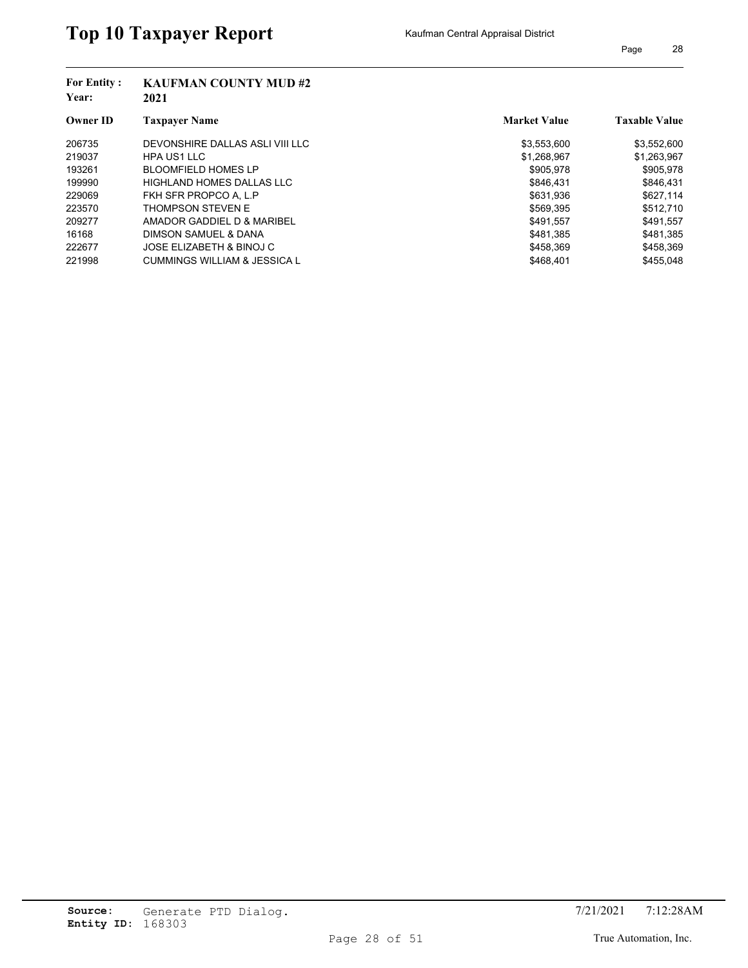| <b>For Entity:</b><br>Year: | <b>KAUFMAN COUNTY MUD #2</b><br>2021 |                     |                      |
|-----------------------------|--------------------------------------|---------------------|----------------------|
| <b>Owner ID</b>             | <b>Taxpayer Name</b>                 | <b>Market Value</b> | <b>Taxable Value</b> |
| 206735                      | DEVONSHIRE DALLAS ASLI VIII LLC      | \$3,553,600         | \$3,552,600          |
| 219037                      | HPA US1 LLC                          | \$1,268,967         | \$1,263,967          |
| 193261                      | <b>BLOOMFIELD HOMES LP</b>           | \$905.978           | \$905,978            |
| 199990                      | HIGHLAND HOMES DALLAS LLC            | \$846.431           | \$846,431            |
| 229069                      | FKH SFR PROPCO A. L.P                | \$631.936           | \$627,114            |
| 223570                      | THOMPSON STEVEN E                    | \$569,395           | \$512.710            |
| 209277                      | AMADOR GADDIEL D & MARIBEL           | \$491,557           | \$491,557            |
| 16168                       | DIMSON SAMUEL & DANA                 | \$481.385           | \$481.385            |
| 222677                      | JOSE ELIZABETH & BINOJ C             | \$458,369           | \$458,369            |
| 221998                      | CUMMINGS WILLIAM & JESSICA L         | \$468.401           | \$455.048            |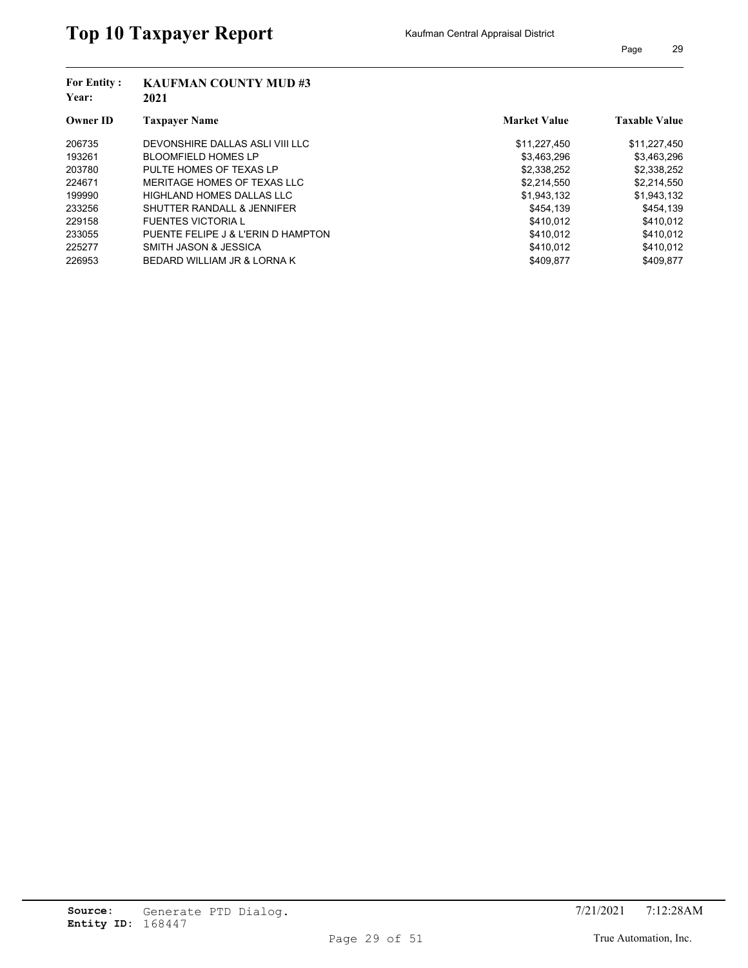| <b>For Entity:</b><br>Year: | <b>KAUFMAN COUNTY MUD#3</b><br>2021 |                     |                      |
|-----------------------------|-------------------------------------|---------------------|----------------------|
| <b>Owner ID</b>             | <b>Taxpayer Name</b>                | <b>Market Value</b> | <b>Taxable Value</b> |
| 206735                      | DEVONSHIRE DALLAS ASLI VIII LLC     | \$11,227,450        | \$11,227,450         |
| 193261                      | <b>BLOOMFIELD HOMES LP</b>          | \$3,463,296         | \$3,463,296          |
| 203780                      | PULTE HOMES OF TEXAS LP             | \$2,338,252         | \$2,338,252          |
| 224671                      | MERITAGE HOMES OF TEXAS LLC         | \$2,214,550         | \$2,214,550          |
| 199990                      | HIGHLAND HOMES DALLAS LLC           | \$1,943,132         | \$1,943,132          |
| 233256                      | SHUTTER RANDALL & JENNIFER          | \$454.139           | \$454.139            |
| 229158                      | <b>FUENTES VICTORIA L</b>           | \$410,012           | \$410,012            |
| 233055                      | PUENTE FELIPE J & L'ERIN D HAMPTON  | \$410.012           | \$410.012            |
| 225277                      | SMITH JASON & JESSICA               | \$410,012           | \$410,012            |
| 226953                      | BEDARD WILLIAM JR & LORNA K         | \$409.877           | \$409.877            |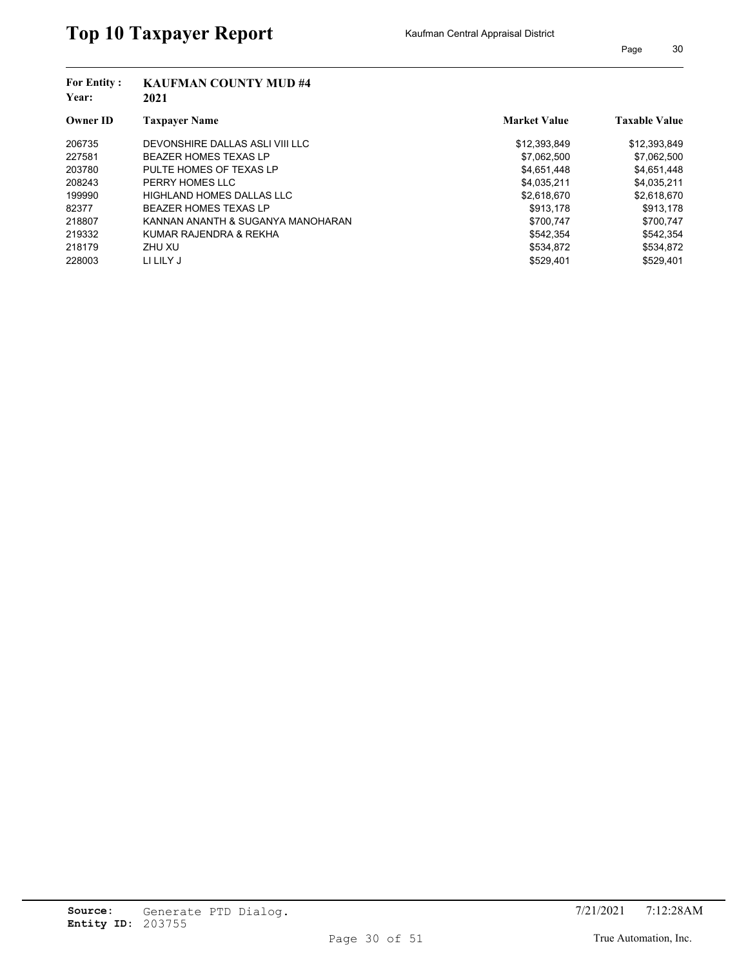| <b>For Entity:</b><br>Year: | <b>KAUFMAN COUNTY MUD #4</b><br>2021 |                     |                      |
|-----------------------------|--------------------------------------|---------------------|----------------------|
| <b>Owner ID</b>             | <b>Taxpayer Name</b>                 | <b>Market Value</b> | <b>Taxable Value</b> |
| 206735                      | DEVONSHIRE DALLAS ASLI VIII LLC      | \$12,393,849        | \$12,393,849         |
| 227581                      | <b>BEAZER HOMES TEXAS LP</b>         | \$7.062.500         | \$7,062,500          |
| 203780                      | PULTE HOMES OF TEXAS LP              | \$4,651,448         | \$4,651,448          |
| 208243                      | PERRY HOMES LLC                      | \$4,035,211         | \$4,035,211          |
| 199990                      | HIGHLAND HOMES DALLAS LLC            | \$2,618,670         | \$2,618,670          |
| 82377                       | <b>BEAZER HOMES TEXAS LP</b>         | \$913,178           | \$913,178            |
| 218807                      | KANNAN ANANTH & SUGANYA MANOHARAN    | \$700.747           | \$700,747            |
| 219332                      | KUMAR RAJENDRA & REKHA               | \$542.354           | \$542.354            |
| 218179                      | ZHU XU                               | \$534,872           | \$534,872            |
| 228003                      | LI LILY J                            | \$529.401           | \$529.401            |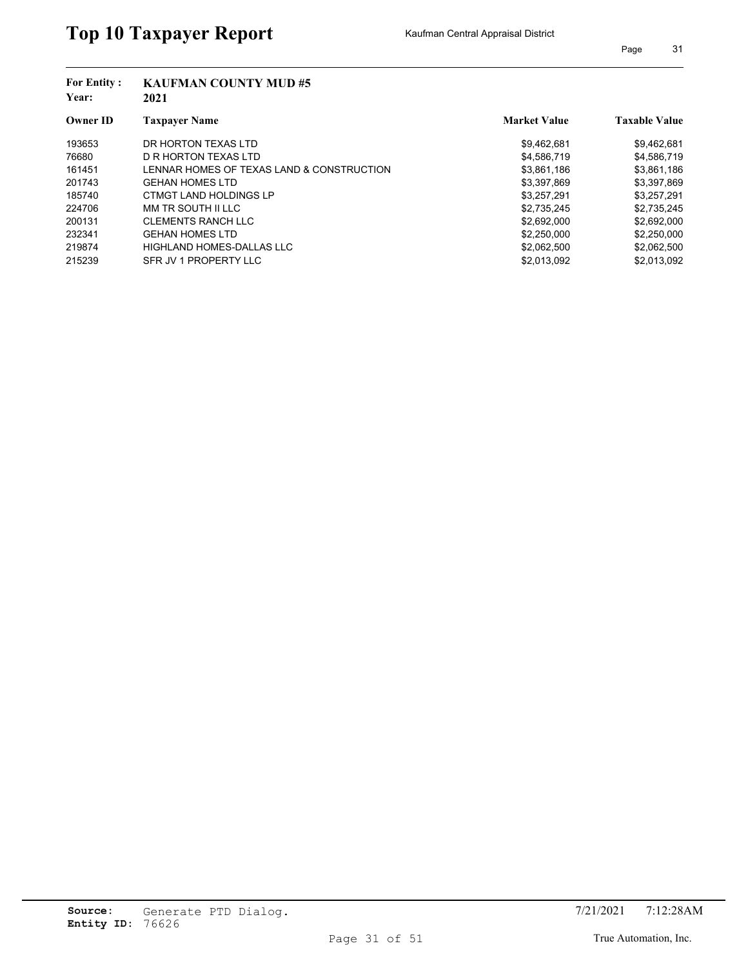| <b>For Entity:</b><br>Year: | <b>KAUFMAN COUNTY MUD #5</b><br>2021      |                     |                      |
|-----------------------------|-------------------------------------------|---------------------|----------------------|
| <b>Owner ID</b>             | <b>Taxpaver Name</b>                      | <b>Market Value</b> | <b>Taxable Value</b> |
| 193653                      | DR HORTON TEXAS LTD                       | \$9,462,681         | \$9,462,681          |
| 76680                       | D R HORTON TEXAS LTD                      | \$4,586,719         | \$4,586,719          |
| 161451                      | LENNAR HOMES OF TEXAS LAND & CONSTRUCTION | \$3,861,186         | \$3,861,186          |
| 201743                      | <b>GEHAN HOMES LTD</b>                    | \$3,397,869         | \$3,397,869          |
| 185740                      | CTMGT LAND HOLDINGS LP                    | \$3,257,291         | \$3,257,291          |
| 224706                      | MM TR SOUTH II LLC                        | \$2,735,245         | \$2,735,245          |
| 200131                      | <b>CLEMENTS RANCH LLC</b>                 | \$2,692,000         | \$2,692,000          |
| 232341                      | <b>GEHAN HOMES LTD</b>                    | \$2,250,000         | \$2,250,000          |
| 219874                      | HIGHLAND HOMES-DALLAS LLC                 | \$2,062,500         | \$2,062,500          |
| 215239                      | SFR JV 1 PROPERTY LLC                     | \$2,013,092         | \$2,013,092          |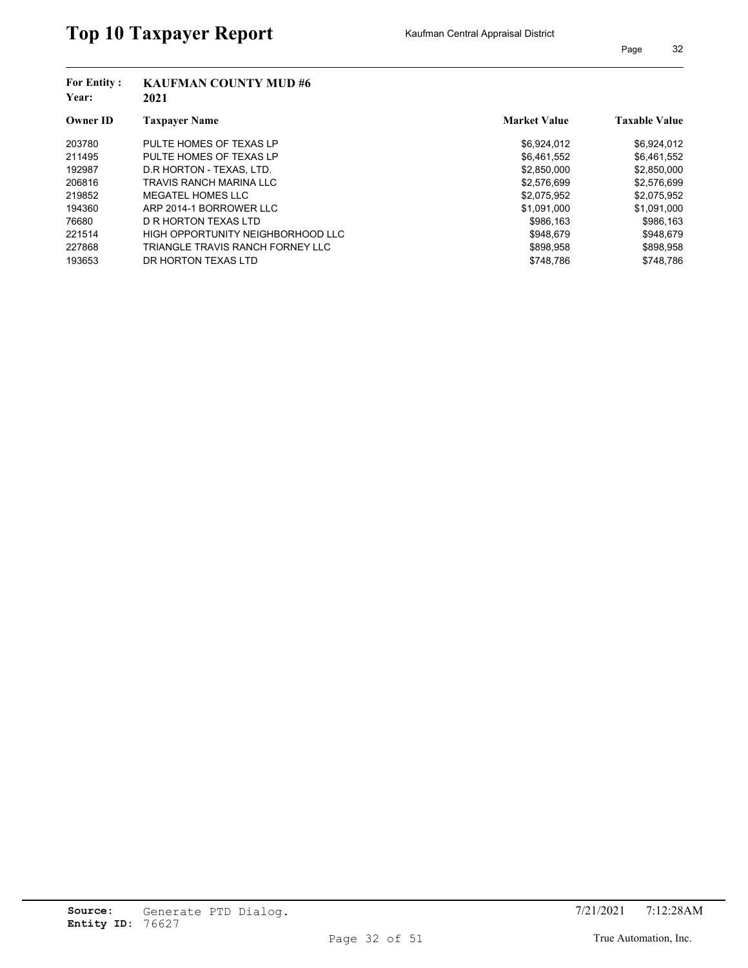| <b>For Entity:</b><br>Year: | <b>KAUFMAN COUNTY MUD#6</b><br>2021 |                     |                      |
|-----------------------------|-------------------------------------|---------------------|----------------------|
| <b>Owner ID</b>             | <b>Taxpayer Name</b>                | <b>Market Value</b> | <b>Taxable Value</b> |
| 203780                      | PULTE HOMES OF TEXAS LP             | \$6,924,012         | \$6,924,012          |
| 211495                      | PULTE HOMES OF TEXAS LP             | \$6,461,552         | \$6,461,552          |
| 192987                      | D.R HORTON - TEXAS, LTD.            | \$2,850,000         | \$2,850,000          |
| 206816                      | TRAVIS RANCH MARINA LLC             | \$2,576,699         | \$2,576,699          |
| 219852                      | MEGATEL HOMES LLC                   | \$2,075,952         | \$2,075,952          |
| 194360                      | ARP 2014-1 BORROWER LLC             | \$1.091.000         | \$1,091,000          |
| 76680                       | D R HORTON TEXAS LTD                | \$986,163           | \$986,163            |
| 221514                      | HIGH OPPORTUNITY NEIGHBORHOOD LLC   | \$948.679           | \$948.679            |
| 227868                      | TRIANGLE TRAVIS RANCH FORNEY LLC    | \$898,958           | \$898,958            |
| 193653                      | DR HORTON TEXAS LTD                 | \$748.786           | \$748.786            |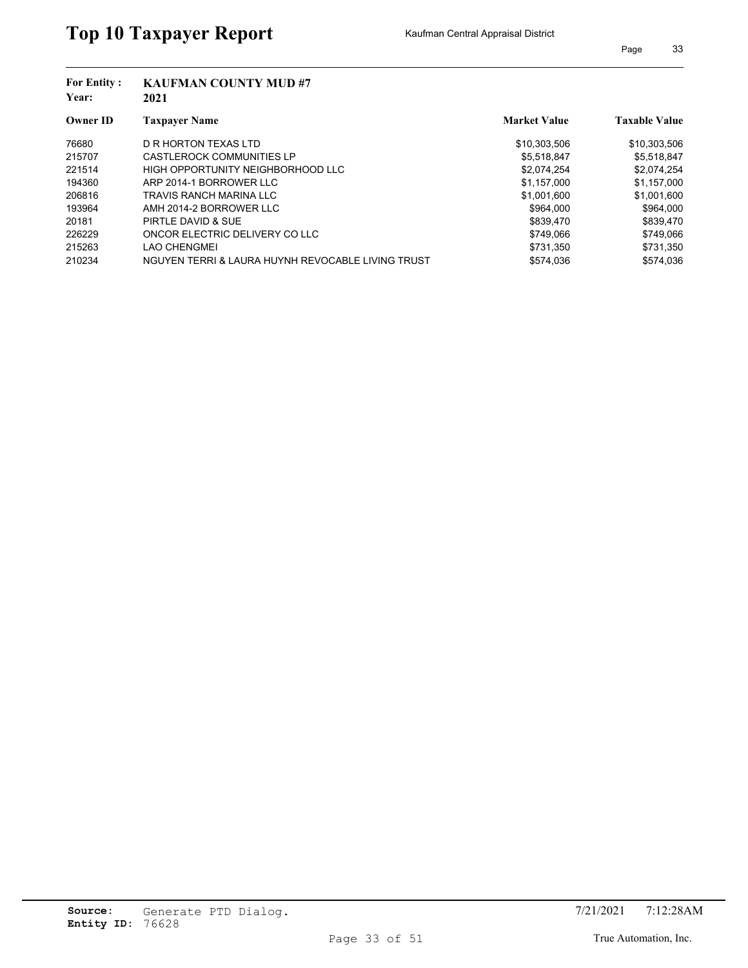| <b>For Entity:</b><br>Year: | <b>KAUFMAN COUNTY MUD#7</b><br>2021               |                     |                      |  |  |
|-----------------------------|---------------------------------------------------|---------------------|----------------------|--|--|
| <b>Owner ID</b>             | <b>Taxpayer Name</b>                              | <b>Market Value</b> | <b>Taxable Value</b> |  |  |
| 76680                       | D R HORTON TEXAS LTD                              | \$10,303,506        | \$10,303,506         |  |  |
| 215707                      | <b>CASTLEROCK COMMUNITIES LP</b>                  | \$5,518,847         | \$5,518,847          |  |  |
| 221514                      | HIGH OPPORTUNITY NEIGHBORHOOD LLC                 | \$2.074.254         | \$2,074,254          |  |  |
| 194360                      | ARP 2014-1 BORROWER LLC                           | \$1,157,000         | \$1,157,000          |  |  |
| 206816                      | TRAVIS RANCH MARINA LLC                           | \$1.001.600         | \$1,001,600          |  |  |
| 193964                      | AMH 2014-2 BORROWER LLC                           | \$964.000           | \$964.000            |  |  |
| 20181                       | PIRTLE DAVID & SUE                                | \$839.470           | \$839,470            |  |  |
| 226229                      | ONCOR ELECTRIC DELIVERY CO LLC                    | \$749.066           | \$749,066            |  |  |
| 215263                      | LAO CHENGMEI                                      | \$731.350           | \$731,350            |  |  |
| 210234                      | NGUYEN TERRI & LAURA HUYNH REVOCABLE LIVING TRUST | \$574.036           | \$574.036            |  |  |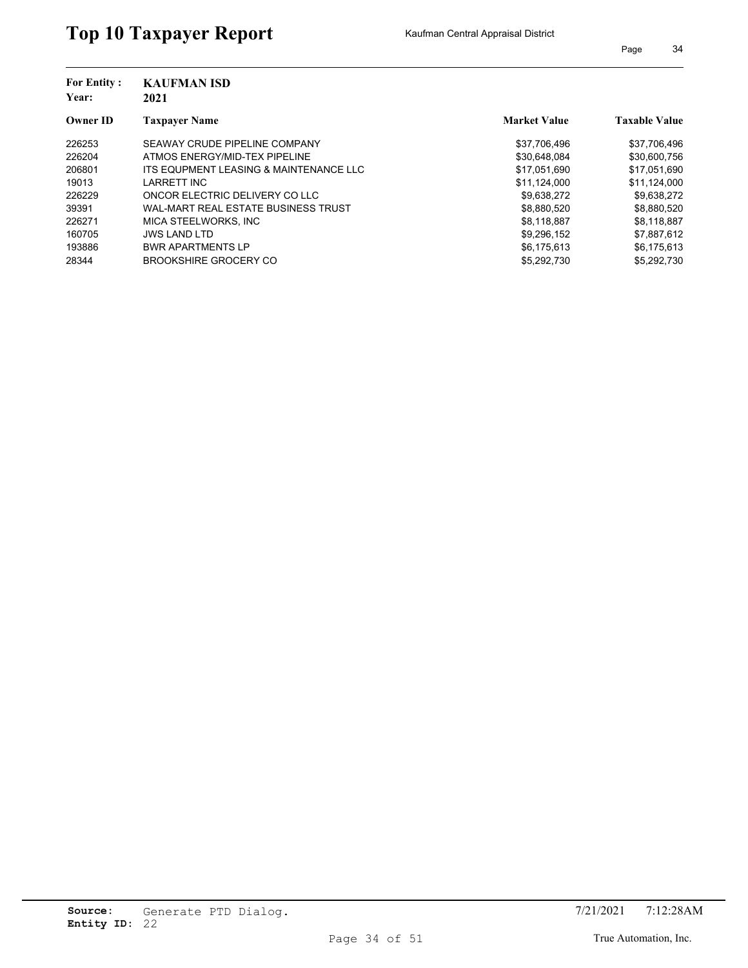| <b>For Entity:</b> | <b>KAUFMAN ISD</b>                     |                     |                      |
|--------------------|----------------------------------------|---------------------|----------------------|
| Year:              | 2021                                   |                     |                      |
| <b>Owner ID</b>    | <b>Taxpayer Name</b>                   | <b>Market Value</b> | <b>Taxable Value</b> |
| 226253             | SEAWAY CRUDE PIPELINE COMPANY          | \$37,706,496        | \$37,706,496         |
| 226204             | ATMOS ENERGY/MID-TEX PIPELINE          | \$30,648,084        | \$30,600,756         |
| 206801             | ITS EQUPMENT LEASING & MAINTENANCE LLC | \$17.051.690        | \$17,051,690         |
| 19013              | <b>LARRETT INC</b>                     | \$11,124,000        | \$11,124,000         |
| 226229             | ONCOR ELECTRIC DELIVERY CO LLC         | \$9,638,272         | \$9,638,272          |
| 39391              | WAL-MART REAL ESTATE BUSINESS TRUST    | \$8,880,520         | \$8,880,520          |
| 226271             | MICA STEELWORKS. INC                   | \$8,118,887         | \$8,118,887          |
| 160705             | <b>JWS LAND LTD</b>                    | \$9,296,152         | \$7,887,612          |
| 193886             | <b>BWR APARTMENTS LP</b>               | \$6,175,613         | \$6,175,613          |
| 28344              | <b>BROOKSHIRE GROCERY CO</b>           | \$5,292,730         | \$5.292.730          |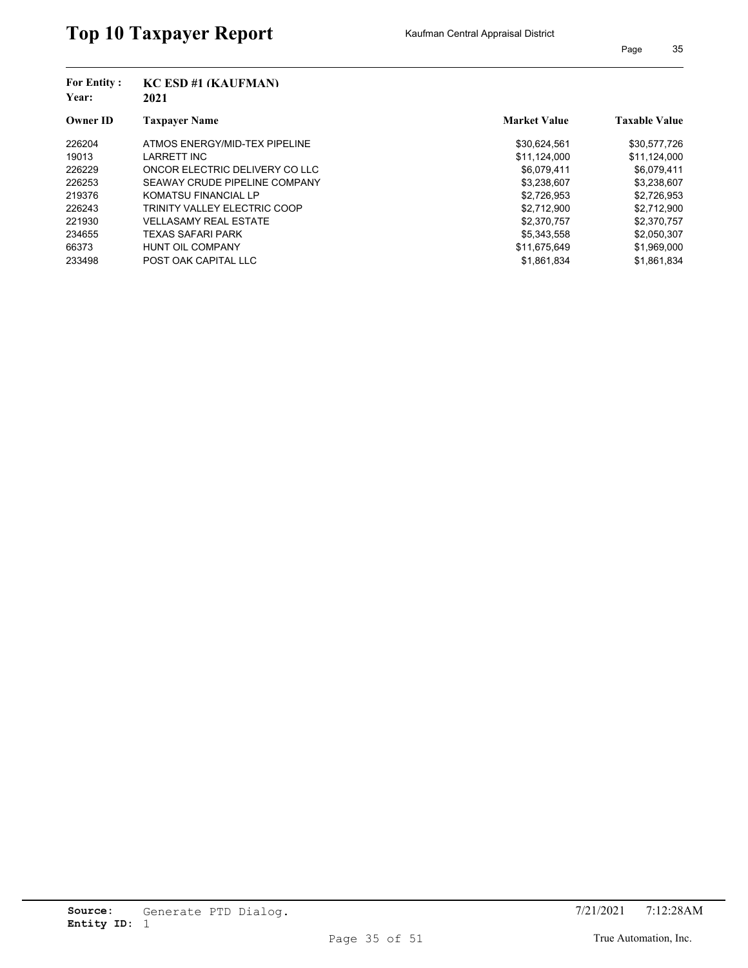| <b>For Entity:</b> | KC ESD #1 (KAUFMAN)                 |                     |                      |
|--------------------|-------------------------------------|---------------------|----------------------|
| Year:              | 2021                                |                     |                      |
| <b>Owner ID</b>    | <b>Taxpayer Name</b>                | <b>Market Value</b> | <b>Taxable Value</b> |
| 226204             | ATMOS ENERGY/MID-TEX PIPELINE       | \$30,624,561        | \$30,577,726         |
| 19013              | <b>LARRETT INC</b>                  | \$11,124,000        | \$11,124,000         |
| 226229             | ONCOR ELECTRIC DELIVERY CO LLC      | \$6,079,411         | \$6,079,411          |
| 226253             | SEAWAY CRUDE PIPELINE COMPANY       | \$3,238,607         | \$3,238,607          |
| 219376             | <b>KOMATSU FINANCIAL LP</b>         | \$2,726,953         | \$2,726,953          |
| 226243             | <b>TRINITY VALLEY ELECTRIC COOP</b> | \$2,712,900         | \$2,712,900          |
| 221930             | <b>VELLASAMY REAL ESTATE</b>        | \$2,370,757         | \$2,370,757          |
| 234655             | <b>TEXAS SAFARI PARK</b>            | \$5,343,558         | \$2,050,307          |
| 66373              | <b>HUNT OIL COMPANY</b>             | \$11,675,649        | \$1,969,000          |
| 233498             | POST OAK CAPITAL LLC                | \$1,861,834         | \$1,861,834          |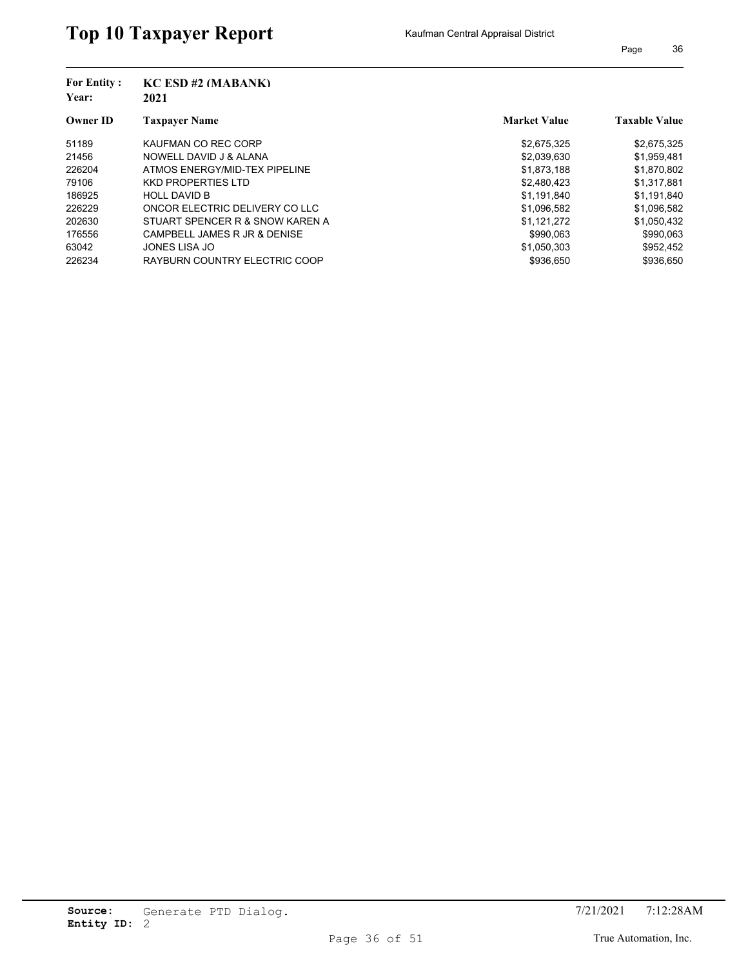| <b>For Entity:</b>       | $KC$ ESD #2 (MABANK)            |                     |                      |
|--------------------------|---------------------------------|---------------------|----------------------|
| Year:<br><b>Owner ID</b> | 2021                            |                     |                      |
|                          | <b>Taxpayer Name</b>            | <b>Market Value</b> | <b>Taxable Value</b> |
| 51189                    | KAUFMAN CO REC CORP             | \$2,675,325         | \$2,675,325          |
| 21456                    | NOWELL DAVID J & ALANA          | \$2,039,630         | \$1,959,481          |
| 226204                   | ATMOS ENERGY/MID-TEX PIPELINE   | \$1,873,188         | \$1,870,802          |
| 79106                    | <b>KKD PROPERTIES LTD</b>       | \$2,480,423         | \$1,317,881          |
| 186925                   | <b>HOLL DAVID B</b>             | \$1,191,840         | \$1,191,840          |
| 226229                   | ONCOR ELECTRIC DELIVERY CO LLC  | \$1,096,582         | \$1,096,582          |
| 202630                   | STUART SPENCER R & SNOW KAREN A | \$1,121,272         | \$1,050,432          |
| 176556                   | CAMPBELL JAMES R JR & DENISE    | \$990.063           | \$990.063            |
| 63042                    | <b>JONES LISA JO</b>            | \$1,050,303         | \$952,452            |
| 226234                   | RAYBURN COUNTRY ELECTRIC COOP   | \$936.650           | \$936.650            |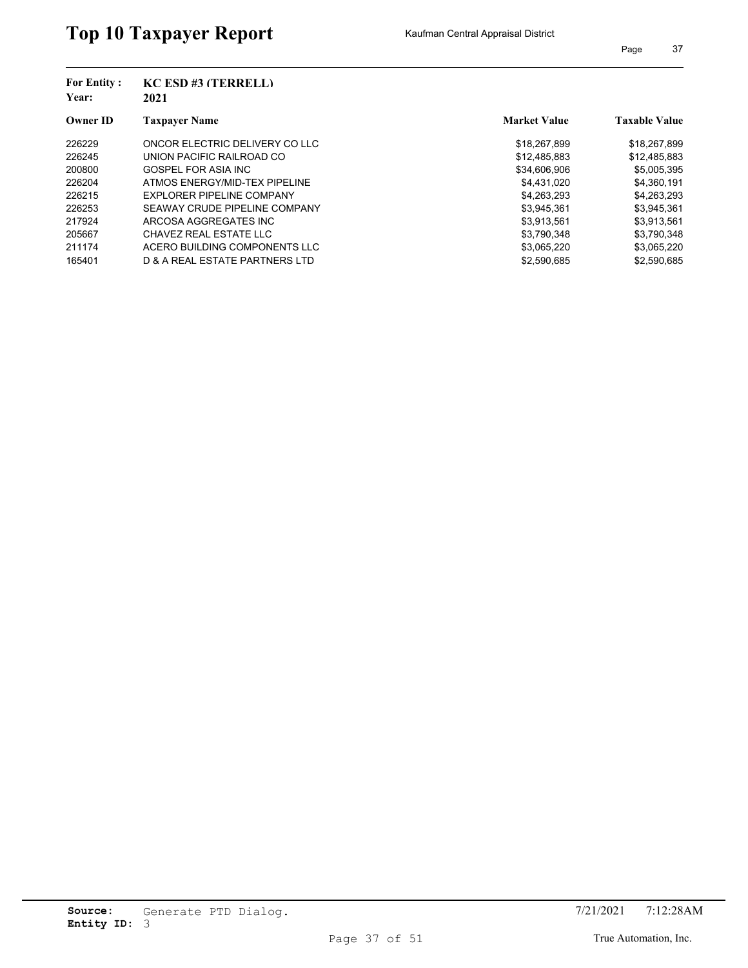| <b>For Entity:</b><br>Year: | $KC$ ESD #3 (TERRELL)          |                     |                      |
|-----------------------------|--------------------------------|---------------------|----------------------|
|                             | 2021                           |                     |                      |
| <b>Owner ID</b>             | <b>Taxpayer Name</b>           | <b>Market Value</b> | <b>Taxable Value</b> |
| 226229                      | ONCOR ELECTRIC DELIVERY CO LLC | \$18,267,899        | \$18,267,899         |
| 226245                      | UNION PACIFIC RAILROAD CO      | \$12,485,883        | \$12,485,883         |
| 200800                      | GOSPEL FOR ASIA INC            | \$34,606,906        | \$5,005,395          |
| 226204                      | ATMOS ENERGY/MID-TEX PIPELINE  | \$4,431,020         | \$4,360,191          |
| 226215                      | EXPLORER PIPELINE COMPANY      | \$4,263,293         | \$4,263,293          |
| 226253                      | SEAWAY CRUDE PIPELINE COMPANY  | \$3,945,361         | \$3,945,361          |
| 217924                      | ARCOSA AGGREGATES INC          | \$3,913,561         | \$3,913,561          |
| 205667                      | CHAVEZ REAL ESTATE LLC         | \$3.790.348         | \$3,790,348          |
| 211174                      | ACERO BUILDING COMPONENTS LLC  | \$3,065,220         | \$3,065,220          |
| 165401                      | D & A REAL ESTATE PARTNERS LTD | \$2.590.685         | \$2.590.685          |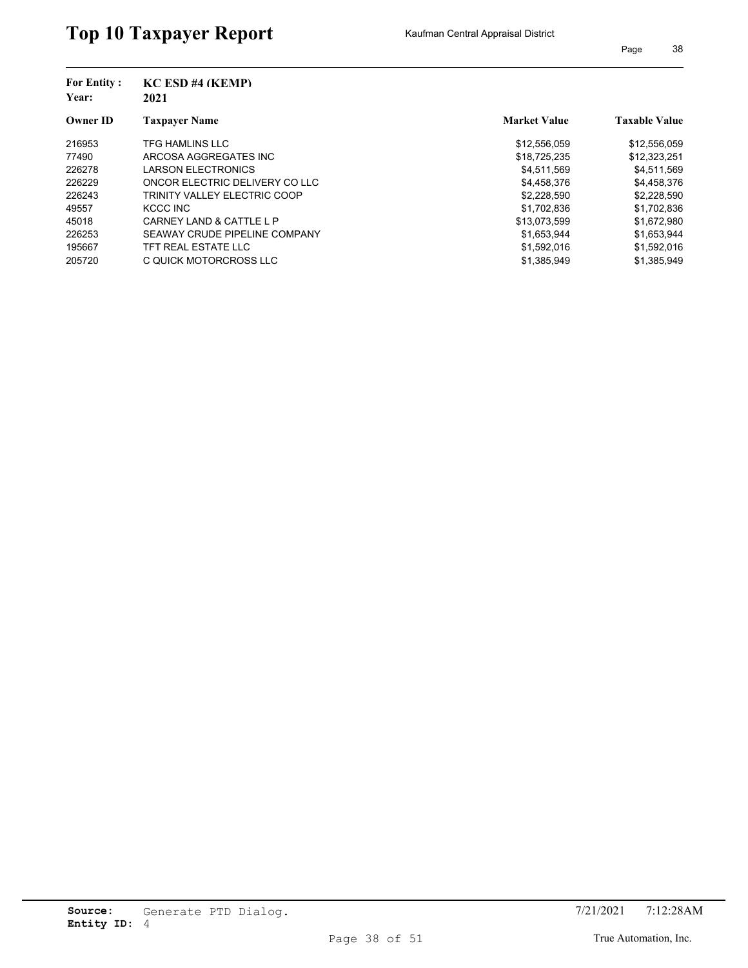| <b>For Entity:</b><br>Year: | <b>KC ESD #4 (KEMP)</b><br>2021     |                     |                      |
|-----------------------------|-------------------------------------|---------------------|----------------------|
| <b>Owner ID</b>             | <b>Taxpaver Name</b>                | <b>Market Value</b> | <b>Taxable Value</b> |
| 216953                      | <b>TFG HAMLINS LLC</b>              | \$12,556,059        | \$12,556,059         |
| 77490                       | ARCOSA AGGREGATES INC               | \$18,725,235        | \$12,323,251         |
| 226278                      | <b>LARSON ELECTRONICS</b>           | \$4,511,569         | \$4,511,569          |
| 226229                      | ONCOR ELECTRIC DELIVERY CO LLC      | \$4,458,376         | \$4,458,376          |
| 226243                      | <b>TRINITY VALLEY ELECTRIC COOP</b> | \$2,228,590         | \$2,228,590          |
| 49557                       | KCCC INC                            | \$1,702,836         | \$1,702,836          |
| 45018                       | CARNEY LAND & CATTLE L P            | \$13,073,599        | \$1,672,980          |
| 226253                      | SEAWAY CRUDE PIPELINE COMPANY       | \$1.653.944         | \$1,653,944          |
| 195667                      | TFT REAL ESTATE LLC                 | \$1,592,016         | \$1,592,016          |
| 205720                      | C QUICK MOTORCROSS LLC              | \$1,385,949         | \$1.385.949          |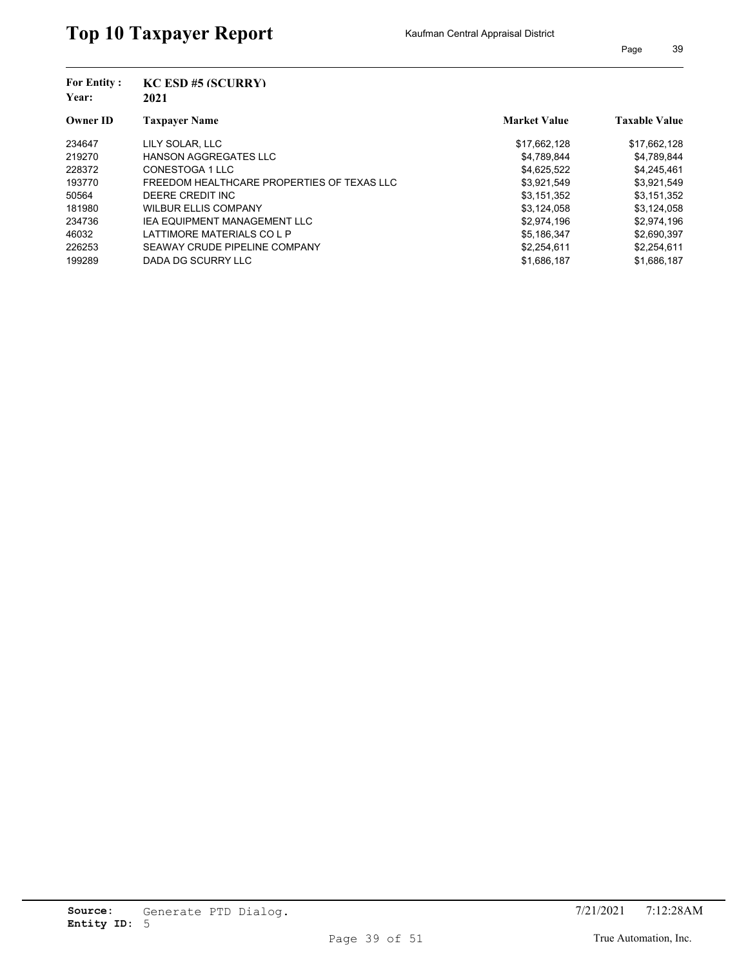| <b>For Entity:</b>       | <b>KC ESD #5 (SCURRY)</b>                  |                     |                      |
|--------------------------|--------------------------------------------|---------------------|----------------------|
| Year:<br><b>Owner ID</b> | 2021                                       |                     |                      |
|                          | <b>Taxpayer Name</b>                       | <b>Market Value</b> | <b>Taxable Value</b> |
| 234647                   | LILY SOLAR, LLC                            | \$17,662,128        | \$17,662,128         |
| 219270                   | <b>HANSON AGGREGATES LLC</b>               | \$4,789,844         | \$4,789,844          |
| 228372                   | CONESTOGA 1 LLC                            | \$4,625,522         | \$4,245,461          |
| 193770                   | FREEDOM HEALTHCARE PROPERTIES OF TEXAS LLC | \$3,921,549         | \$3,921,549          |
| 50564                    | DEERE CREDIT INC                           | \$3,151,352         | \$3,151,352          |
| 181980                   | <b>WILBUR ELLIS COMPANY</b>                | \$3,124,058         | \$3,124,058          |
| 234736                   | <b>IEA EQUIPMENT MANAGEMENT LLC</b>        | \$2,974,196         | \$2,974,196          |
| 46032                    | LATTIMORE MATERIALS CO L P                 | \$5,186,347         | \$2,690,397          |
| 226253                   | SEAWAY CRUDE PIPELINE COMPANY              | \$2,254,611         | \$2,254,611          |
| 199289                   | DADA DG SCURRY LLC                         | \$1,686,187         | \$1,686,187          |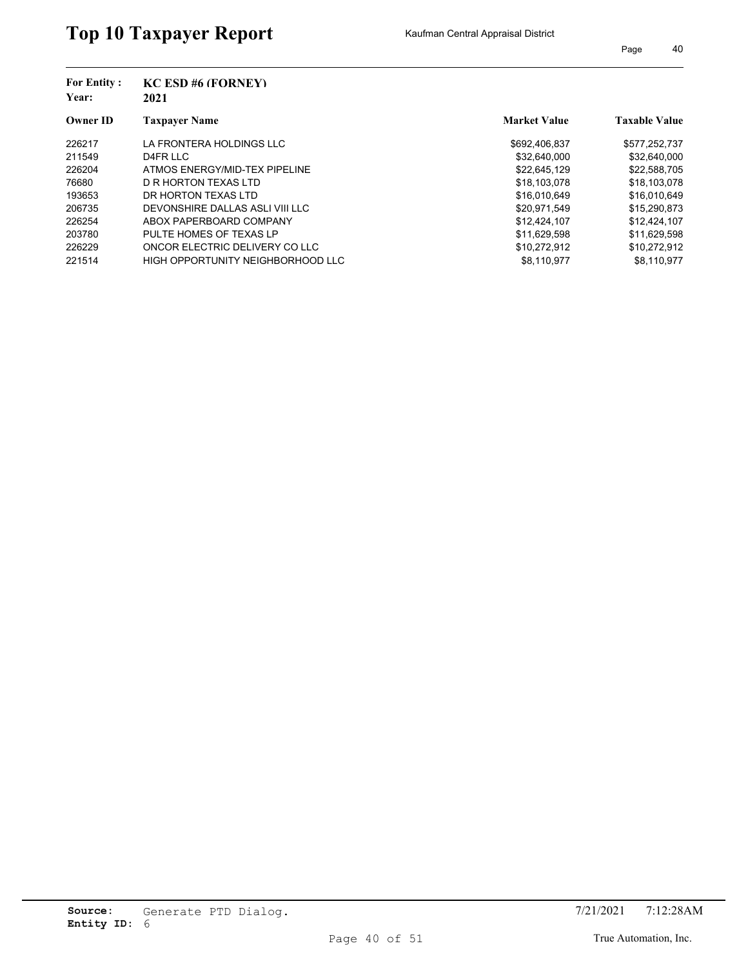| <b>For Entity:</b><br>Year:<br><b>Owner ID</b> | <b>KC ESD #6 (FORNEY)</b><br>2021 |                     |                      |
|------------------------------------------------|-----------------------------------|---------------------|----------------------|
|                                                | <b>Taxpayer Name</b>              | <b>Market Value</b> | <b>Taxable Value</b> |
| 226217                                         | LA FRONTERA HOLDINGS LLC          | \$692,406,837       | \$577,252,737        |
| 211549                                         | D4FR LLC                          | \$32.640.000        | \$32,640,000         |
| 226204                                         | ATMOS ENERGY/MID-TEX PIPELINE     | \$22.645.129        | \$22,588,705         |
| 76680                                          | D R HORTON TEXAS LTD              | \$18,103,078        | \$18,103,078         |
| 193653                                         | DR HORTON TEXAS LTD               | \$16,010,649        | \$16,010,649         |
| 206735                                         | DEVONSHIRE DALLAS ASLI VIII LLC   | \$20.971.549        | \$15,290,873         |
| 226254                                         | ABOX PAPERBOARD COMPANY           | \$12,424,107        | \$12,424,107         |
| 203780                                         | PULTE HOMES OF TEXAS LP           | \$11.629.598        | \$11.629.598         |
| 226229                                         | ONCOR ELECTRIC DELIVERY CO LLC    | \$10,272,912        | \$10,272,912         |
| 221514                                         | HIGH OPPORTUNITY NEIGHBORHOOD LLC | \$8.110.977         | \$8.110.977          |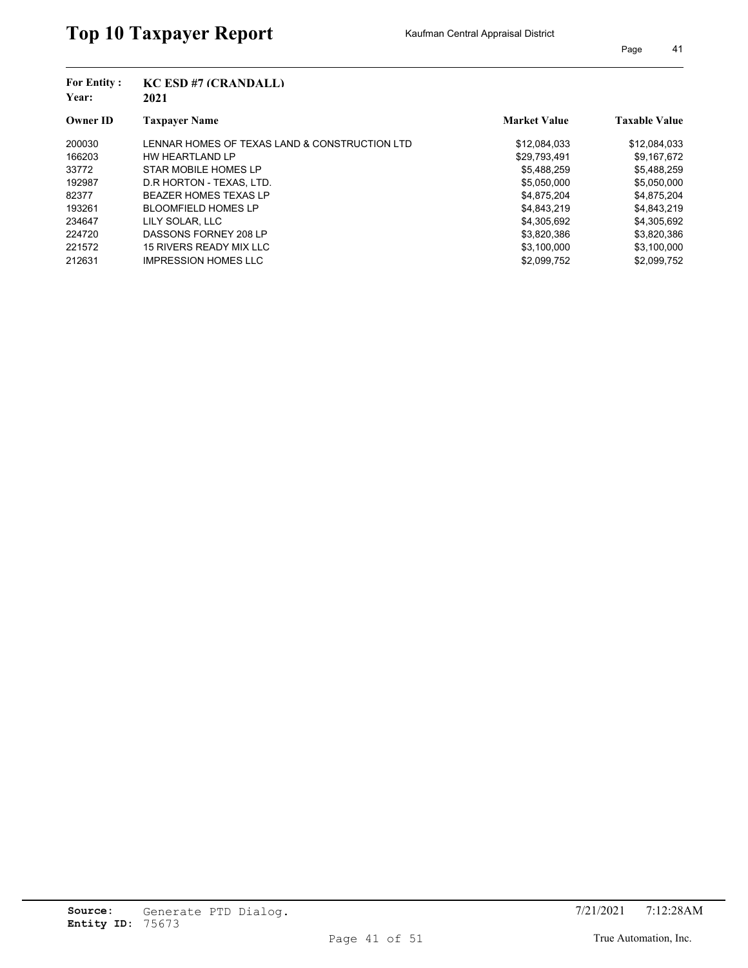| <b>For Entity:</b><br>Year: | <b>KC ESD #7 (CRANDALL)</b>                   |                     |                      |
|-----------------------------|-----------------------------------------------|---------------------|----------------------|
|                             | 2021                                          |                     |                      |
| <b>Owner ID</b>             | <b>Taxpayer Name</b>                          | <b>Market Value</b> | <b>Taxable Value</b> |
| 200030                      | LENNAR HOMES OF TEXAS LAND & CONSTRUCTION LTD | \$12,084,033        | \$12,084,033         |
| 166203                      | HW HEARTLAND LP                               | \$29,793,491        | \$9,167,672          |
| 33772                       | STAR MOBILE HOMES LP                          | \$5,488,259         | \$5,488,259          |
| 192987                      | D.R HORTON - TEXAS, LTD.                      | \$5,050,000         | \$5,050,000          |
| 82377                       | <b>BEAZER HOMES TEXAS LP</b>                  | \$4,875,204         | \$4,875,204          |
| 193261                      | <b>BLOOMFIELD HOMES LP</b>                    | \$4,843,219         | \$4,843,219          |
| 234647                      | LILY SOLAR, LLC                               | \$4,305,692         | \$4,305,692          |
| 224720                      | DASSONS FORNEY 208 LP                         | \$3,820,386         | \$3,820,386          |
| 221572                      | 15 RIVERS READY MIX LLC                       | \$3,100,000         | \$3,100,000          |
| 212631                      | <b>IMPRESSION HOMES LLC</b>                   | \$2.099.752         | \$2.099.752          |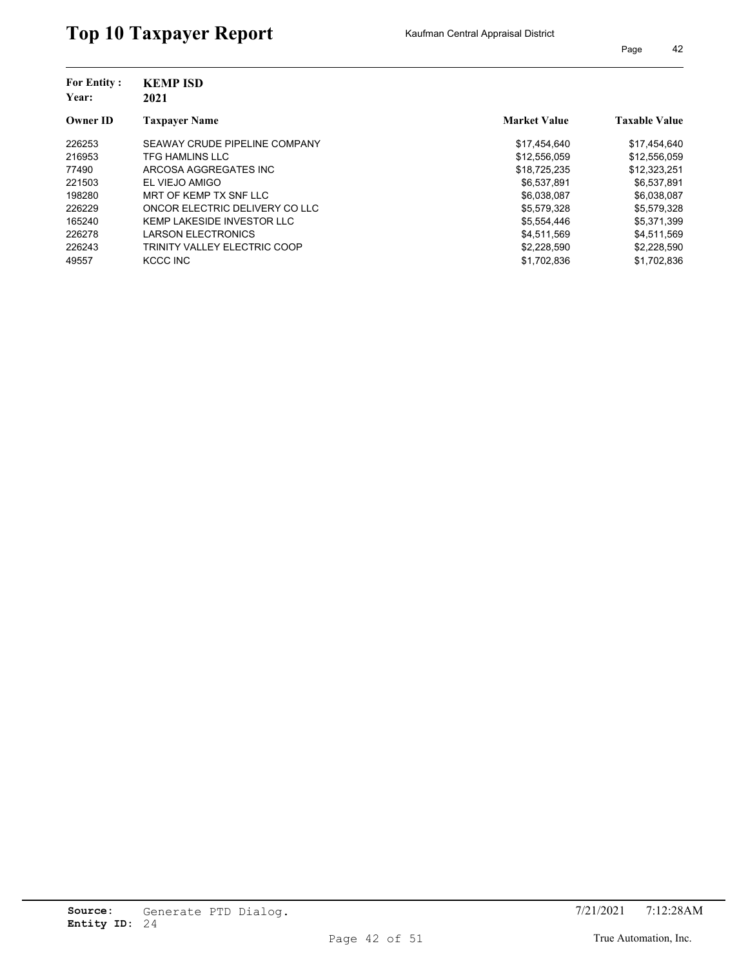## Top 10 Taxpayer Report Kaufman Central Appraisal District

| <b>For Entity:</b><br>Year:<br><b>Owner ID</b> | <b>KEMP ISD</b>                |                     |                      |
|------------------------------------------------|--------------------------------|---------------------|----------------------|
|                                                | 2021                           |                     |                      |
|                                                | <b>Taxpayer Name</b>           | <b>Market Value</b> | <b>Taxable Value</b> |
| 226253                                         | SEAWAY CRUDE PIPELINE COMPANY  | \$17,454,640        | \$17,454,640         |
| 216953                                         | <b>TFG HAMLINS LLC</b>         | \$12,556,059        | \$12,556,059         |
| 77490                                          | ARCOSA AGGREGATES INC          | \$18,725,235        | \$12,323,251         |
| 221503                                         | EL VIEJO AMIGO                 | \$6,537,891         | \$6,537,891          |
| 198280                                         | MRT OF KEMP TX SNF LLC         | \$6,038,087         | \$6,038,087          |
| 226229                                         | ONCOR ELECTRIC DELIVERY CO LLC | \$5,579,328         | \$5,579,328          |
| 165240                                         | KEMP LAKESIDE INVESTOR LLC     | \$5,554,446         | \$5,371,399          |
| 226278                                         | <b>LARSON ELECTRONICS</b>      | \$4.511.569         | \$4.511.569          |
| 226243                                         | TRINITY VALLEY ELECTRIC COOP   | \$2,228,590         | \$2,228,590          |
| 49557                                          | KCCC INC                       | \$1,702,836         | \$1.702.836          |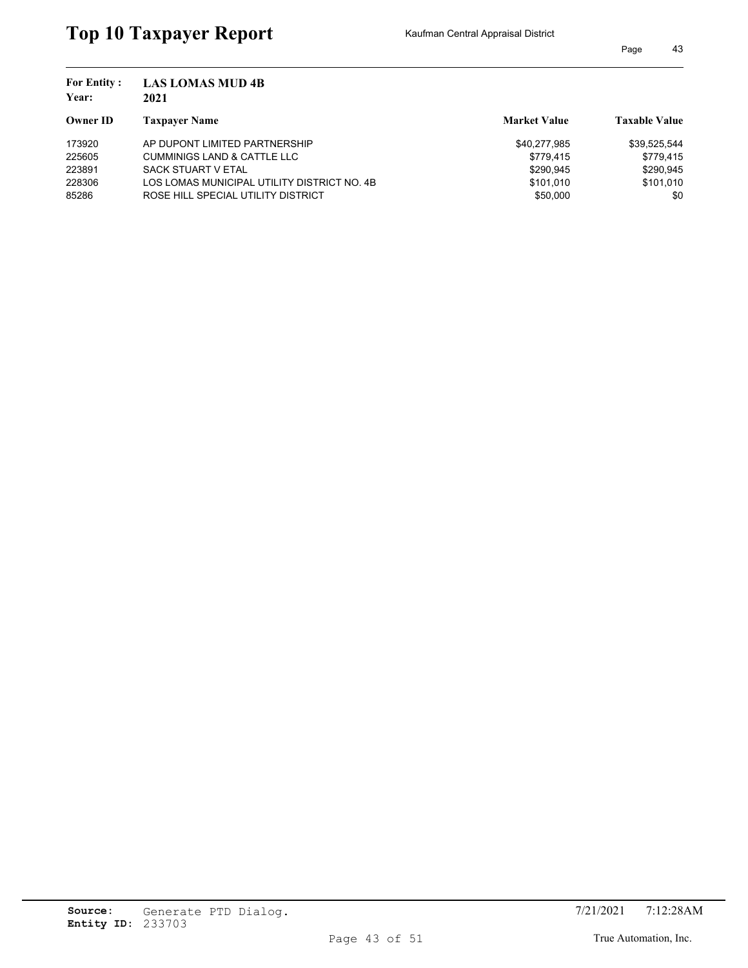| <b>For Entity:</b><br>Year: | <b>LAS LOMAS MUD 4B</b><br>2021             |                     |                      |
|-----------------------------|---------------------------------------------|---------------------|----------------------|
| Owner ID                    | <b>Taxpayer Name</b>                        | <b>Market Value</b> | <b>Taxable Value</b> |
| 173920                      | AP DUPONT LIMITED PARTNERSHIP               | \$40,277,985        | \$39,525,544         |
| 225605                      | <b>CUMMINIGS LAND &amp; CATTLE LLC</b>      | \$779.415           | \$779.415            |
| 223891                      | <b>SACK STUART V ETAL</b>                   | \$290,945           | \$290.945            |
| 228306                      | LOS LOMAS MUNICIPAL UTILITY DISTRICT NO. 4B | \$101.010           | \$101.010            |
| 85286                       | ROSE HILL SPECIAL UTILITY DISTRICT          | \$50,000            | \$0                  |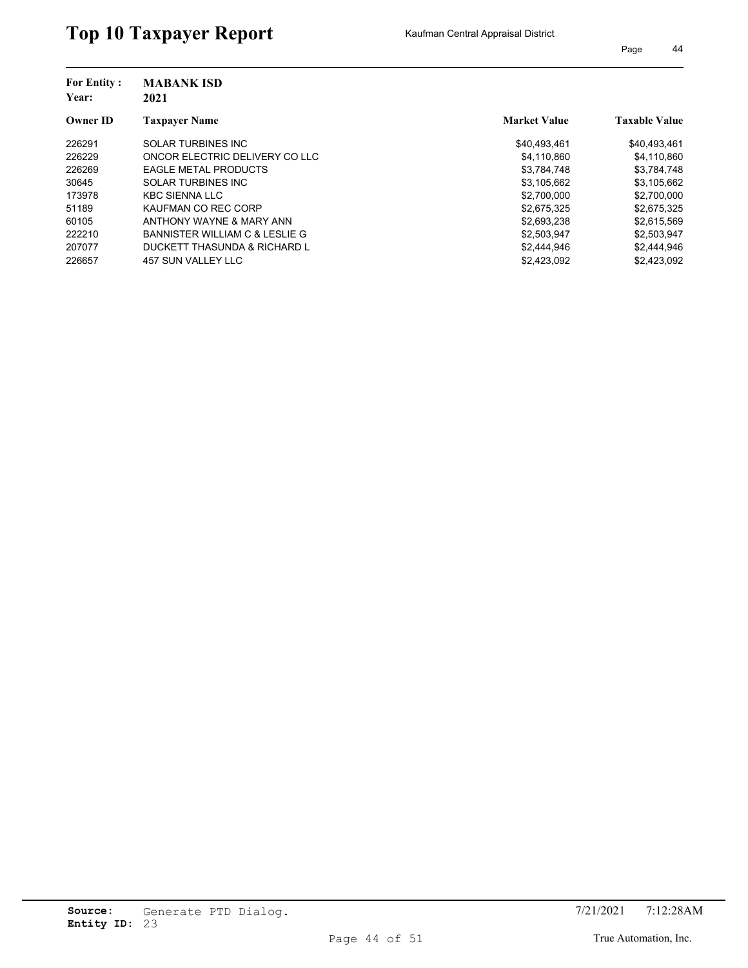| <b>For Entity:</b><br>Year: | <b>MABANK ISD</b><br>2021      |                     |                      |
|-----------------------------|--------------------------------|---------------------|----------------------|
| <b>Owner ID</b>             | <b>Taxpayer Name</b>           | <b>Market Value</b> | <b>Taxable Value</b> |
| 226291                      | <b>SOLAR TURBINES INC</b>      | \$40,493,461        | \$40,493,461         |
| 226229                      | ONCOR ELECTRIC DELIVERY CO LLC | \$4.110.860         | \$4,110,860          |
| 226269                      | <b>EAGLE METAL PRODUCTS</b>    | \$3,784,748         | \$3,784,748          |
| 30645                       | <b>SOLAR TURBINES INC</b>      | \$3,105,662         | \$3,105,662          |
| 173978                      | <b>KBC SIENNA LLC</b>          | \$2,700,000         | \$2,700,000          |
| 51189                       | KAUFMAN CO REC CORP            | \$2,675,325         | \$2,675,325          |
| 60105                       | ANTHONY WAYNE & MARY ANN       | \$2,693,238         | \$2,615,569          |
| 222210                      | BANNISTER WILLIAM C & LESLIE G | \$2,503,947         | \$2,503,947          |
| 207077                      | DUCKETT THASUNDA & RICHARD L   | \$2,444,946         | \$2,444,946          |
| 226657                      | 457 SUN VALLEY LLC             | \$2.423.092         | \$2.423.092          |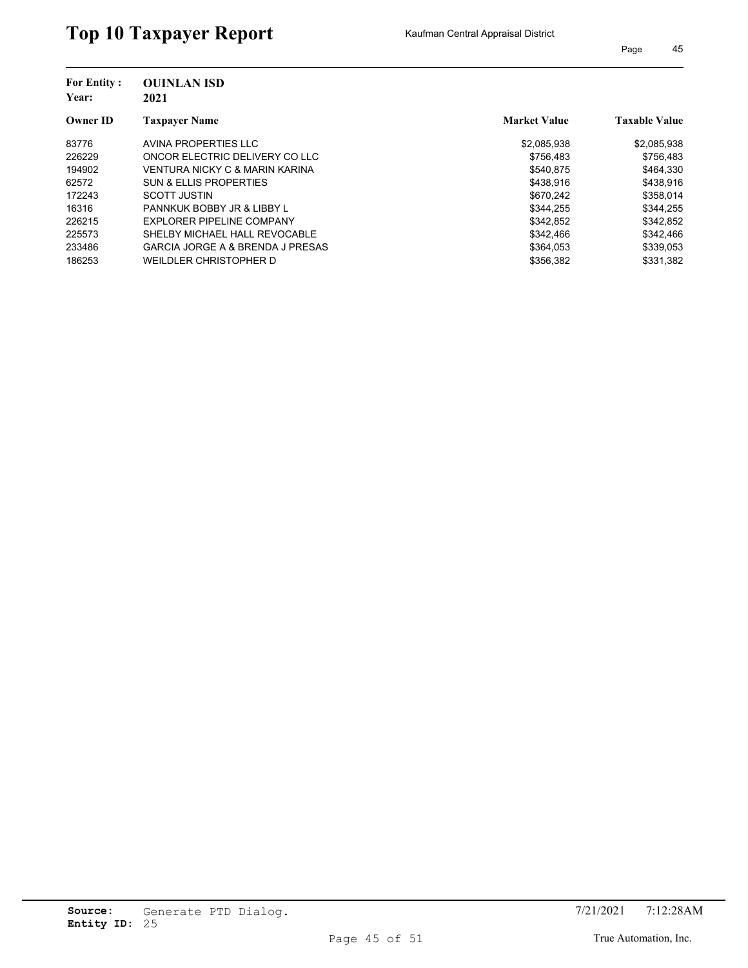| <b>For Entity:</b> | <b>OUINLAN ISD</b>                          |                     |                      |
|--------------------|---------------------------------------------|---------------------|----------------------|
| Year:              | 2021                                        |                     |                      |
| <b>Owner ID</b>    | <b>Taxpayer Name</b>                        | <b>Market Value</b> | <b>Taxable Value</b> |
| 83776              | AVINA PROPERTIES LLC                        | \$2,085,938         | \$2,085,938          |
| 226229             | ONCOR ELECTRIC DELIVERY CO LLC              | \$756.483           | \$756,483            |
| 194902             | VENTURA NICKY C & MARIN KARINA              | \$540.875           | \$464.330            |
| 62572              | <b>SUN &amp; ELLIS PROPERTIES</b>           | \$438.916           | \$438,916            |
| 172243             | <b>SCOTT JUSTIN</b>                         | \$670.242           | \$358,014            |
| 16316              | PANNKUK BOBBY JR & LIBBY L                  | \$344.255           | \$344,255            |
| 226215             | EXPLORER PIPELINE COMPANY                   | \$342,852           | \$342,852            |
| 225573             | SHELBY MICHAEL HALL REVOCABLE               | \$342.466           | \$342.466            |
| 233486             | <b>GARCIA JORGE A &amp; BRENDA J PRESAS</b> | \$364,053           | \$339,053            |
| 186253             | WEILDLER CHRISTOPHER D                      | \$356.382           | \$331.382            |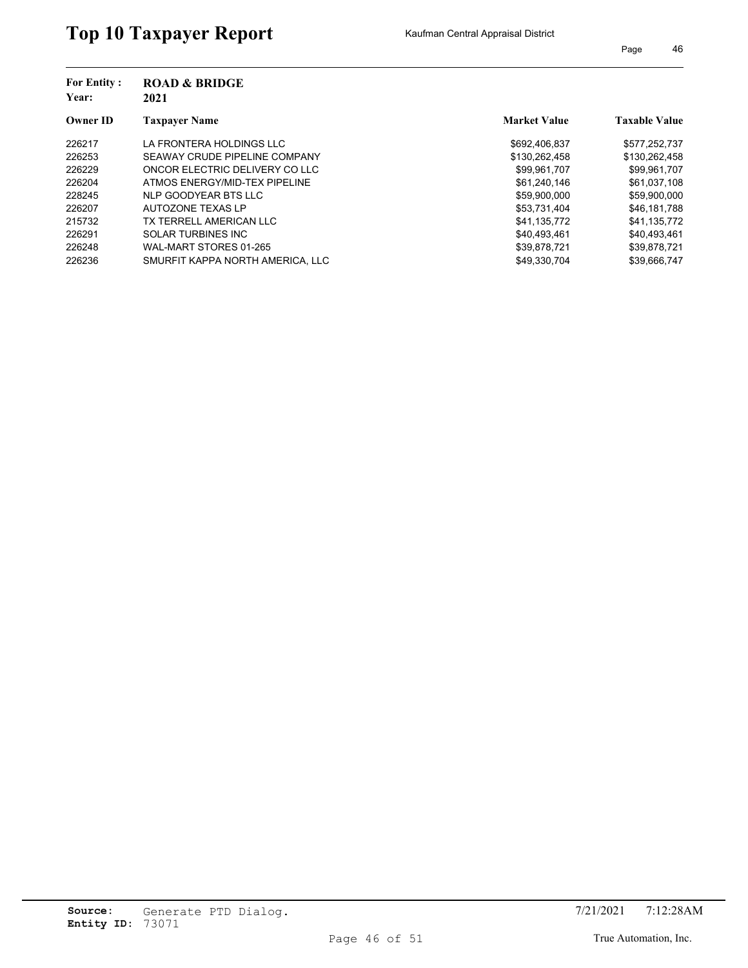| <b>ROAD &amp; BRIDGE</b><br>2021 |                     |                      |  |
|----------------------------------|---------------------|----------------------|--|
| <b>Taxpayer Name</b>             | <b>Market Value</b> | <b>Taxable Value</b> |  |
| LA FRONTERA HOLDINGS LLC         | \$692,406,837       | \$577,252,737        |  |
| SEAWAY CRUDE PIPELINE COMPANY    | \$130,262,458       | \$130,262,458        |  |
| ONCOR ELECTRIC DELIVERY CO LLC   | \$99,961,707        | \$99,961,707         |  |
| ATMOS ENERGY/MID-TEX PIPELINE    | \$61,240,146        | \$61,037,108         |  |
| NLP GOODYEAR BTS LLC             | \$59.900.000        | \$59,900,000         |  |
| AUTOZONE TEXAS LP                | \$53,731,404        | \$46,181,788         |  |
| TX TERRELL AMERICAN LLC          | \$41.135.772        | \$41,135,772         |  |
| <b>SOLAR TURBINES INC</b>        | \$40.493.461        | \$40,493,461         |  |
| WAL-MART STORES 01-265           | \$39,878,721        | \$39,878,721         |  |
| SMURFIT KAPPA NORTH AMERICA. LLC | \$49.330.704        | \$39.666.747         |  |
|                                  |                     |                      |  |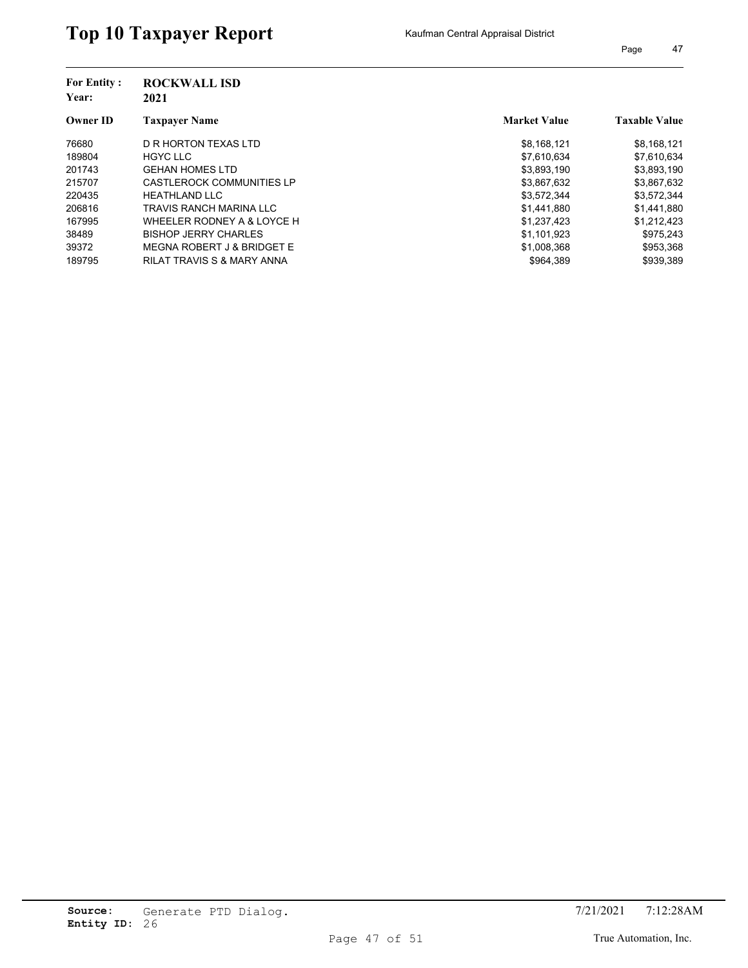| <b>For Entity:</b><br>Year: | <b>ROCKWALL ISD</b><br>2021 |                     |                      |
|-----------------------------|-----------------------------|---------------------|----------------------|
| <b>Owner ID</b>             | <b>Taxpaver Name</b>        | <b>Market Value</b> | <b>Taxable Value</b> |
| 76680                       | D R HORTON TEXAS LTD        | \$8,168,121         | \$8,168,121          |
| 189804                      | <b>HGYC LLC</b>             | \$7,610,634         | \$7,610,634          |
| 201743                      | <b>GEHAN HOMES LTD</b>      | \$3,893,190         | \$3,893,190          |
| 215707                      | CASTLEROCK COMMUNITIES LP   | \$3,867,632         | \$3,867,632          |
| 220435                      | <b>HEATHLAND LLC</b>        | \$3,572,344         | \$3,572,344          |
| 206816                      | TRAVIS RANCH MARINA LLC     | \$1,441,880         | \$1,441,880          |
| 167995                      | WHEELER RODNEY A & LOYCE H  | \$1,237,423         | \$1,212,423          |
| 38489                       | <b>BISHOP JERRY CHARLES</b> | \$1,101,923         | \$975,243            |
| 39372                       | MEGNA ROBERT J & BRIDGET E  | \$1,008,368         | \$953,368            |
| 189795                      | RILAT TRAVIS S & MARY ANNA  | \$964.389           | \$939.389            |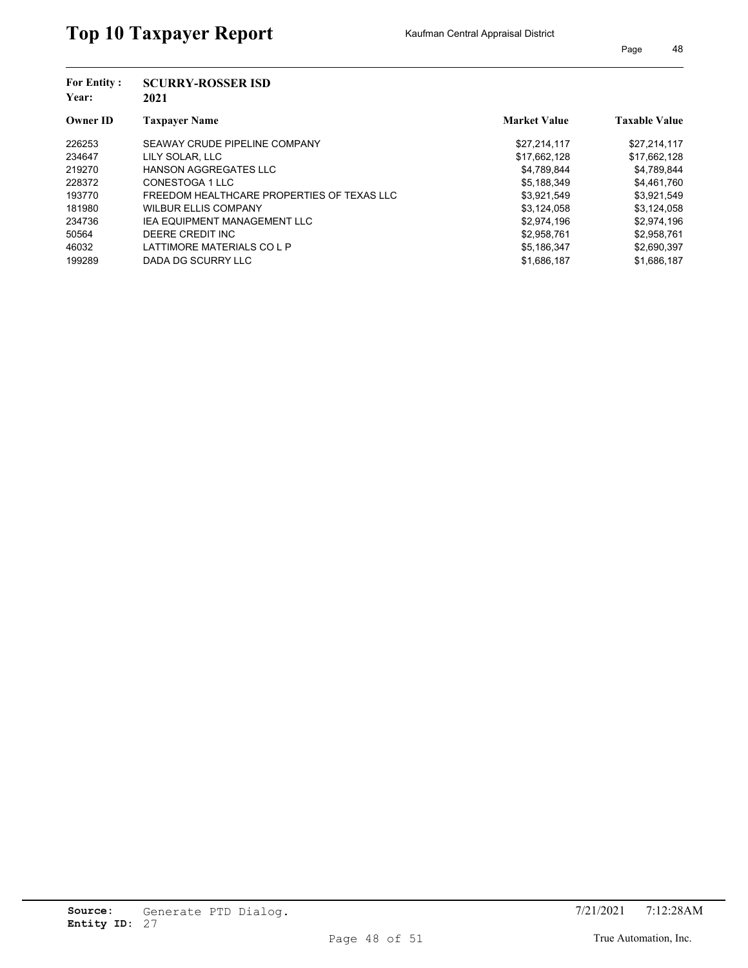| <b>For Entity:</b> | <b>SCURRY-ROSSER ISD</b>                   |                     |                      |  |  |
|--------------------|--------------------------------------------|---------------------|----------------------|--|--|
| Year:              | 2021                                       |                     |                      |  |  |
| <b>Owner ID</b>    | <b>Taxpayer Name</b>                       | <b>Market Value</b> | <b>Taxable Value</b> |  |  |
| 226253             | SEAWAY CRUDE PIPELINE COMPANY              | \$27.214.117        | \$27,214,117         |  |  |
| 234647             | LILY SOLAR, LLC                            | \$17,662,128        | \$17,662,128         |  |  |
| 219270             | <b>HANSON AGGREGATES LLC</b>               | \$4,789,844         | \$4,789,844          |  |  |
| 228372             | CONESTOGA 1 LLC                            | \$5,188,349         | \$4,461,760          |  |  |
| 193770             | FREEDOM HEALTHCARE PROPERTIES OF TEXAS LLC | \$3.921.549         | \$3,921,549          |  |  |
| 181980             | <b>WILBUR ELLIS COMPANY</b>                | \$3,124,058         | \$3,124,058          |  |  |
| 234736             | <b>IEA EQUIPMENT MANAGEMENT LLC</b>        | \$2,974,196         | \$2,974,196          |  |  |
| 50564              | DEERE CREDIT INC                           | \$2,958,761         | \$2,958,761          |  |  |
| 46032              | LATTIMORE MATERIALS CO L P                 | \$5,186,347         | \$2,690,397          |  |  |
| 199289             | DADA DG SCURRY LLC                         | \$1,686,187         | \$1,686,187          |  |  |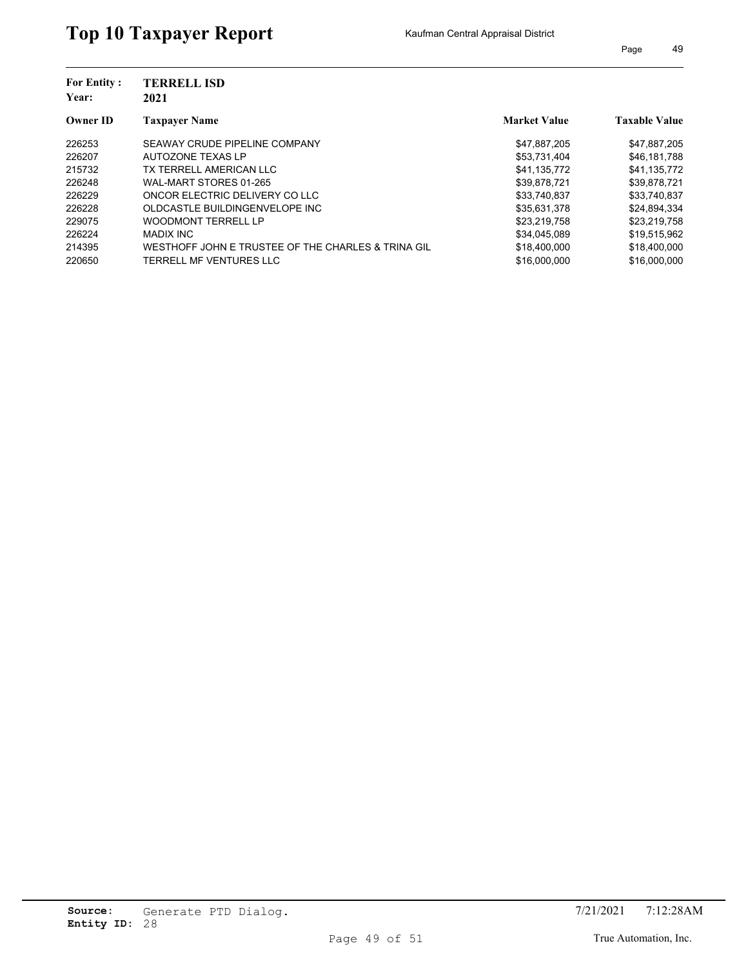| <b>For Entity:</b><br>Year: | <b>TERRELL ISD</b><br>2021                         |                     |                      |  |
|-----------------------------|----------------------------------------------------|---------------------|----------------------|--|
| <b>Owner ID</b>             | <b>Taxpayer Name</b>                               | <b>Market Value</b> | <b>Taxable Value</b> |  |
| 226253                      | SEAWAY CRUDE PIPELINE COMPANY                      | \$47,887,205        | \$47,887,205         |  |
| 226207                      | AUTOZONE TEXAS LP                                  | \$53,731,404        | \$46,181,788         |  |
| 215732                      | TX TERRELL AMERICAN LLC                            | \$41.135.772        | \$41,135,772         |  |
| 226248                      | WAL-MART STORES 01-265                             | \$39,878,721        | \$39,878,721         |  |
| 226229                      | ONCOR ELECTRIC DELIVERY CO LLC                     | \$33.740.837        | \$33,740,837         |  |
| 226228                      | OLDCASTLE BUILDINGENVELOPE INC                     | \$35.631.378        | \$24,894,334         |  |
| 229075                      | <b>WOODMONT TERRELL LP</b>                         | \$23,219,758        | \$23,219,758         |  |
| 226224                      | MADIX INC                                          | \$34.045.089        | \$19.515.962         |  |
| 214395                      | WESTHOFF JOHN E TRUSTEE OF THE CHARLES & TRINA GIL | \$18,400,000        | \$18,400,000         |  |
| 220650                      | TERRELL MF VENTURES LLC                            | \$16,000,000        | \$16,000,000         |  |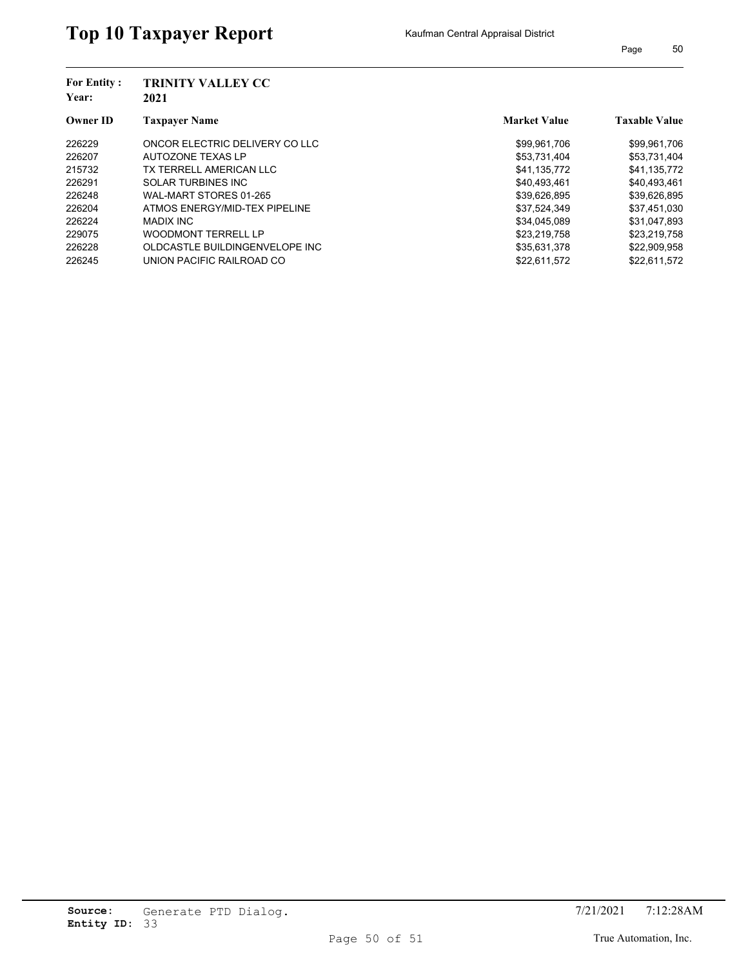| <b>For Entity:</b> | <b>TRINITY VALLEY CC</b>       |                     |                      |
|--------------------|--------------------------------|---------------------|----------------------|
| Year:              | 2021                           |                     |                      |
| <b>Owner ID</b>    | <b>Taxpayer Name</b>           | <b>Market Value</b> | <b>Taxable Value</b> |
| 226229             | ONCOR ELECTRIC DELIVERY CO LLC | \$99,961,706        | \$99,961,706         |
| 226207             | AUTOZONE TEXAS LP              | \$53,731,404        | \$53,731,404         |
| 215732             | TX TERRELL AMERICAN LLC        | \$41.135.772        | \$41,135,772         |
| 226291             | <b>SOLAR TURBINES INC</b>      | \$40,493,461        | \$40,493,461         |
| 226248             | WAL-MART STORES 01-265         | \$39,626,895        | \$39,626,895         |
| 226204             | ATMOS ENERGY/MID-TEX PIPELINE  | \$37,524,349        | \$37,451,030         |
| 226224             | <b>MADIX INC</b>               | \$34,045,089        | \$31,047,893         |
| 229075             | <b>WOODMONT TERRELL LP</b>     | \$23.219.758        | \$23,219,758         |
| 226228             | OLDCASTLE BUILDINGENVELOPE INC | \$35,631,378        | \$22,909,958         |
| 226245             | UNION PACIFIC RAILROAD CO      | \$22.611.572        | \$22.611.572         |